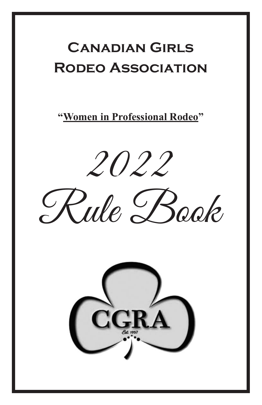# **Canadian Girls Rodeo Association**

**"Women in Professional Rodeo"**



Rule Book

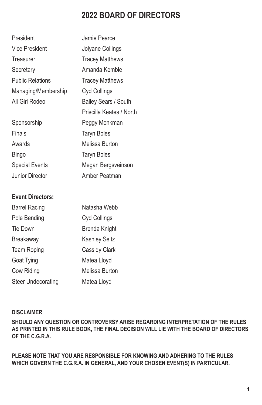### **2022 BOARD OF DIRECTORS**

| President               | Jamie Pearce             |
|-------------------------|--------------------------|
| Vice President          | Jolyane Collings         |
| Treasurer               | <b>Tracey Matthews</b>   |
| Secretary               | Amanda Kemble            |
| <b>Public Relations</b> | <b>Tracey Matthews</b>   |
| Managing/Membership     | Cyd Collings             |
| All Girl Rodeo          | Bailey Sears / South     |
|                         | Priscilla Keates / North |
| Sponsorship             | Peggy Monkman            |
| Finals                  | <b>Taryn Boles</b>       |
| Awards                  | Melissa Burton           |
| Bingo                   | <b>Taryn Boles</b>       |
| <b>Special Events</b>   | Megan Bergsveinson       |
| Junior Director         | Amber Peatman            |

#### **Event Directors:**

| <b>Barrel Racing</b>      | Natasha Webb         |
|---------------------------|----------------------|
| Pole Bending              | Cyd Collings         |
| Tie Down                  | Brenda Knight        |
| <b>Breakaway</b>          | <b>Kashley Seitz</b> |
| <b>Team Roping</b>        | Cassidy Clark        |
| <b>Goat Tying</b>         | Matea Lloyd          |
| Cow Riding                | Melissa Burton       |
| <b>Steer Undecorating</b> | Matea Lloyd          |

#### **DISCLAIMER**

**SHOULD ANY QUESTION OR CONTROVERSY ARISE REGARDING INTERPRETATION OF THE RULES AS PRINTED IN THIS RULE BOOK, THE FINAL DECISION WILL LIE WITH THE BOARD OF DIRECTORS OF THE C.G.R.A.**

**PLEASE NOTE THAT YOU ARE RESPONSIBLE FOR KNOWING AND ADHERING TO THE RULES WHICH GOVERN THE C.G.R.A. IN GENERAL, AND YOUR CHOSEN EVENT(S) IN PARTICULAR.**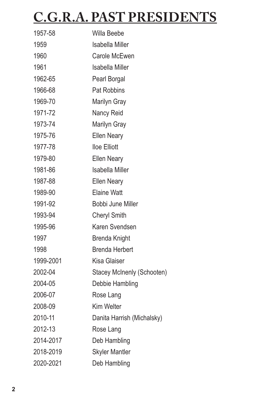# **C.G.R.A. PAST PRESIDENTS**

| 1957-58   | Willa Beebe                |
|-----------|----------------------------|
| 1959      | Isabella Miller            |
| 1960      | Carole McEwen              |
| 1961      | <b>Isabella Miller</b>     |
| 1962-65   | Pearl Borgal               |
| 1966-68   | Pat Robbins                |
| 1969-70   | Marilyn Gray               |
| 1971-72   | Nancy Reid                 |
| 1973-74   | Marilyn Gray               |
| 1975-76   | <b>Ellen Neary</b>         |
| 1977-78   | lloe Elliott               |
| 1979-80   | <b>Ellen Neary</b>         |
| 1981-86   | <b>Isabella Miller</b>     |
| 1987-88   | <b>Ellen Neary</b>         |
| 1989-90   | <b>Elaine Watt</b>         |
| 1991-92   | Bobbi June Miller          |
| 1993-94   | <b>Cheryl Smith</b>        |
| 1995-96   | Karen Svendsen             |
| 1997      | <b>Brenda Knight</b>       |
| 1998      | <b>Brenda Herbert</b>      |
| 1999-2001 | Kisa Glaiser               |
| 2002-04   | Stacey McInenly (Schooten) |
| 2004-05   | Debbie Hambling            |
| 2006-07   | Rose Lang                  |
| 2008-09   | Kim Welter                 |
| 2010-11   | Danita Harrish (Michalsky) |
| 2012-13   | Rose Lang                  |
| 2014-2017 | Deb Hambling               |
| 2018-2019 | <b>Skyler Mantler</b>      |
| 2020-2021 | Deb Hambling               |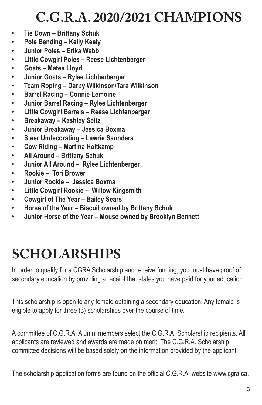# **C.G.R.A. 2020/2021 CHAMPIONS**

- **Tie Down – Brittany Schuk**
- **Pole Bending – Kelly Keely**
- **Junior Poles – Erika Webb**
- **Little Cowgirl Poles – Reese Lichtenberger**
- **Goats – Matea Lloyd**
- **Junior Goats – Rylee Lichtenberger**
- **Team Roping – Darby Wilkinson/Tara Wilkinson**
- **Barrel Racing – Connie Lemoine**
- **Junior Barrel Racing – Rylee Lichtenberger**
- **Little Cowgirl Barrels – Reese Lichtenberger**
- **Breakaway – Kashley Seitz**
- **Junior Breakaway – Jessica Boxma**
- **Steer Undecorating – Lawrie Saunders**
- **Cow Riding – Martina Holtkamp**
- **All Around – Brittany Schuk**
- **Junior All Around – Rylee Lichtenberger**
- **Rookie – Tori Brower**
- **Junior Rookie – Jessica Boxma**
- **Little Cowgirl Rookie – Willow Kingsmith**
- **Cowgirl of The Year – Bailey Sears**
- **Horse of the Year – Biscuit owned by Brittany Schuk**
- **Junior Horse of the Year – Mouse owned by Brooklyn Bennett**

# **SCHOLARSHIPS**

In order to qualify for a CGRA Scholarship and receive funding, you must have proof of secondary education by providing a receipt that states you have paid for your education.

This scholarship is open to any female obtaining a secondary education. Any female is eligible to apply for three (3) scholarships over the course of time.

A committee of C.G.R.A. Alumni members select the C.G.R.A. Scholarship recipients. All applicants are reviewed and awards are made on merit. The C.G.R.A. Scholarship committee decisions will be based solely on the information provided by the applicant

The scholarship application forms are found on the official C.G.R.A. website www.cgra.ca.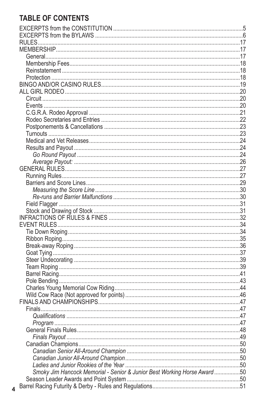### **TABLE OF CONTENTS**

 $\overline{\mathbf{4}}$ 

| Smoky Jim Hancock Memorial - Senior & Junior Best Working Horse Award 50 |  |
|--------------------------------------------------------------------------|--|
|                                                                          |  |
|                                                                          |  |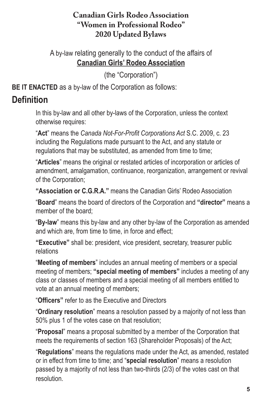#### **Canadian Girls Rodeo Association "Women in Professional Rodeo" 2020 Updated Bylaws**

A by-law relating generally to the conduct of the affairs of **Canadian Girls' Rodeo Association**

(the "Corporation")

**BE IT ENACTED** as a by-law of the Corporation as follows:

### **Definition**

In this by-law and all other by-laws of the Corporation, unless the context otherwise requires:

"**Act**" means the *Canada Not-For-Profit Corporations Act* S.C. 2009, c. 23 including the Regulations made pursuant to the Act, and any statute or regulations that may be substituted, as amended from time to time;

"**Articles**" means the original or restated articles of incorporation or articles of amendment, amalgamation, continuance, reorganization, arrangement or revival of the Corporation;

**"Association or C.G.R.A."** means the Canadian Girls' Rodeo Association

"**Board**" means the board of directors of the Corporation and **"director"** means a member of the board;

"**By-law**" means this by-law and any other by-law of the Corporation as amended and which are, from time to time, in force and effect;

**"Executive"** shall be: president, vice president, secretary, treasurer public relations

"**Meeting of members**" includes an annual meeting of members or a special meeting of members; **"special meeting of members"** includes a meeting of any class or classes of members and a special meeting of all members entitled to vote at an annual meeting of members;

"**Officers"** refer to as the Executive and Directors

"**Ordinary resolution**" means a resolution passed by a majority of not less than 50% plus 1 of the votes case on that resolution;

"**Proposal**" means a proposal submitted by a member of the Corporation that meets the requirements of section 163 (Shareholder Proposals) of the Act;

"**Regulations**" means the regulations made under the Act, as amended, restated or in effect from time to time; and "**special resolution**" means a resolution passed by a majority of not less than two-thirds (2/3) of the votes cast on that resolution.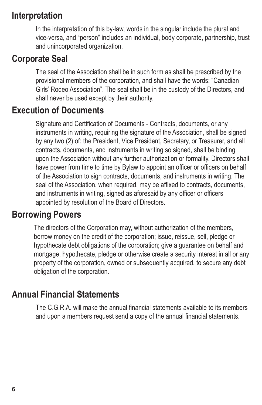### **Interpretation**

In the interpretation of this by-law, words in the singular include the plural and vice-versa, and "person" includes an individual, body corporate, partnership, trust and unincorporated organization.

## **Corporate Seal**

The seal of the Association shall be in such form as shall be prescribed by the provisional members of the corporation, and shall have the words: "Canadian Girls' Rodeo Association". The seal shall be in the custody of the Directors, and shall never be used except by their authority.

### **Execution of Documents**

Signature and Certification of Documents - Contracts, documents, or any instruments in writing, requiring the signature of the Association, shall be signed by any two (2) of: the President, Vice President, Secretary, or Treasurer, and all contracts, documents, and instruments in writing so signed, shall be binding upon the Association without any further authorization or formality. Directors shall have power from time to time by Bylaw to appoint an officer or officers on behalf of the Association to sign contracts, documents, and instruments in writing. The seal of the Association, when required, may be affixed to contracts, documents, and instruments in writing, signed as aforesaid by any officer or officers appointed by resolution of the Board of Directors.

### **Borrowing Powers**

The directors of the Corporation may, without authorization of the members, borrow money on the credit of the corporation; issue, reissue, sell, pledge or hypothecate debt obligations of the corporation; give a guarantee on behalf and mortgage, hypothecate, pledge or otherwise create a security interest in all or any property of the corporation, owned or subsequently acquired, to secure any debt obligation of the corporation.

### **Annual Financial Statements**

The C.G.R.A. will make the annual financial statements available to its members and upon a members request send a copy of the annual financial statements.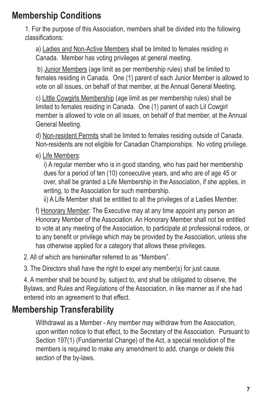## **Membership Conditions**

1. For the purpose of this Association, members shall be divided into the following classifications:

a) Ladies and Non-Active Members shall be limited to females residing in Canada. Member has voting privileges at general meeting.

b) Junior Members (age limit as per membership rules) shall be limited to females residing in Canada. One (1) parent of each Junior Member is allowed to vote on all issues, on behalf of that member, at the Annual General Meeting.

c) Little Cowgirls Membership (age limit as per membership rules) shall be limited to females residing in Canada. One (1) parent of each Lil Cowgirl member is allowed to vote on all issues, on behalf of that member, at the Annual General Meeting.

d) Non-resident Permits shall be limited to females residing outside of Canada. Non-residents are not eligible for Canadian Championships. No voting privilege.

e) Life Members:

i) A regular member who is in good standing, who has paid her membership dues for a period of ten (10) consecutive years, and who are of age 45 or over, shall be granted a Life Membership in the Association, if she applies, in writing, to the Association for such membership.

ii) A Life Member shall be entitled to all the privileges of a Ladies Member.

f) Honorary Member: The Executive may at any time appoint any person an Honorary Member of the Association. An Honorary Member shall not be entitled to vote at any meeting of the Association, to participate at professional rodeos, or to any benefit or privilege which may be provided by the Association, unless she has otherwise applied for a category that allows these privileges.

2. All of which are hereinafter referred to as "Members".

3. The Directors shall have the right to expel any member(s) for just cause.

4. A member shall be bound by, subject to, and shall be obligated to observe, the Bylaws, and Rules and Regulations of the Association, in like manner as if she had entered into an agreement to that effect.

# **Membership Transferability**

Withdrawal as a Member - Any member may withdraw from the Association, upon written notice to that effect, to the Secretary of the Association. Pursuant to Section 197(1) (Fundamental Change) of the Act, a special resolution of the members is required to make any amendment to add, change or delete this section of the by-laws.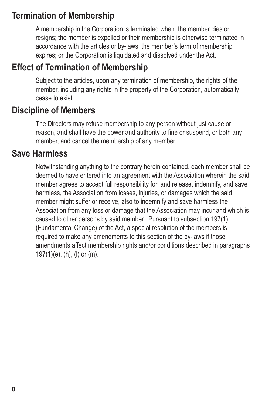## **Termination of Membership**

A membership in the Corporation is terminated when: the member dies or resigns; the member is expelled or their membership is otherwise terminated in accordance with the articles or by-laws; the member's term of membership expires; or the Corporation is liquidated and dissolved under the Act.

## **Effect of Termination of Membership**

Subject to the articles, upon any termination of membership, the rights of the member, including any rights in the property of the Corporation, automatically cease to exist.

### **Discipline of Members**

The Directors may refuse membership to any person without just cause or reason, and shall have the power and authority to fine or suspend, or both any member, and cancel the membership of any member.

### **Save Harmless**

Notwithstanding anything to the contrary herein contained, each member shall be deemed to have entered into an agreement with the Association wherein the said member agrees to accept full responsibility for, and release, indemnify, and save harmless, the Association from losses, injuries, or damages which the said member might suffer or receive, also to indemnify and save harmless the Association from any loss or damage that the Association may incur and which is caused to other persons by said member. Pursuant to subsection 197(1) (Fundamental Change) of the Act, a special resolution of the members is required to make any amendments to this section of the by-laws if those amendments affect membership rights and/or conditions described in paragraphs 197(1)(e), (h), (l) or (m).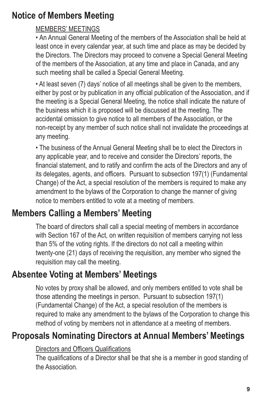# **Notice of Members Meeting**

#### MEMBERS' MEETINGS

• An Annual General Meeting of the members of the Association shall be held at least once in every calendar year, at such time and place as may be decided by the Directors. The Directors may proceed to convene a Special General Meeting of the members of the Association, at any time and place in Canada, and any such meeting shall be called a Special General Meeting.

• At least seven (7) days' notice of all meetings shall be given to the members, either by post or by publication in any official publication of the Association, and if the meeting is a Special General Meeting, the notice shall indicate the nature of the business which it is proposed will be discussed at the meeting. The accidental omission to give notice to all members of the Association, or the non-receipt by any member of such notice shall not invalidate the proceedings at any meeting.

• The business of the Annual General Meeting shall be to elect the Directors in any applicable year, and to receive and consider the Directors' reports, the financial statement, and to ratify and confirm the acts of the Directors and any of its delegates, agents, and officers. Pursuant to subsection 197(1) (Fundamental Change) of the Act, a special resolution of the members is required to make any amendment to the bylaws of the Corporation to change the manner of giving notice to members entitled to vote at a meeting of members.

# **Members Calling a Members' Meeting**

The board of directors shall call a special meeting of members in accordance with Section 167 of the Act, on written requisition of members carrying not less than 5% of the voting rights. If the directors do not call a meeting within twenty-one (21) days of receiving the requisition, any member who signed the requisition may call the meeting.

## **Absentee Voting at Members' Meetings**

No votes by proxy shall be allowed, and only members entitled to vote shall be those attending the meetings in person. Pursuant to subsection 197(1) (Fundamental Change) of the Act, a special resolution of the members is required to make any amendment to the bylaws of the Corporation to change this method of voting by members not in attendance at a meeting of members.

# **Proposals Nominating Directors at Annual Members' Meetings**

#### Directors and Officers Qualifications

The qualifications of a Director shall be that she is a member in good standing of the Association.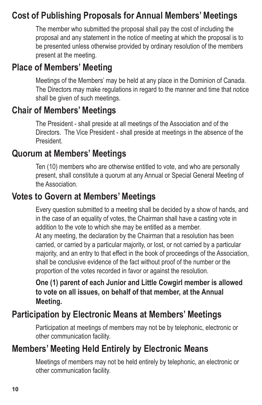## **Cost of Publishing Proposals for Annual Members' Meetings**

The member who submitted the proposal shall pay the cost of including the proposal and any statement in the notice of meeting at which the proposal is to be presented unless otherwise provided by ordinary resolution of the members present at the meeting.

# **Place of Members' Meeting**

Meetings of the Members' may be held at any place in the Dominion of Canada. The Directors may make regulations in regard to the manner and time that notice shall be given of such meetings.

### **Chair of Members' Meetings**

The President - shall preside at all meetings of the Association and of the Directors. The Vice President - shall preside at meetings in the absence of the **President** 

### **Quorum at Members' Meetings**

Ten (10) members who are otherwise entitled to vote, and who are personally present, shall constitute a quorum at any Annual or Special General Meeting of the Association.

### **Votes to Govern at Members' Meetings**

Every question submitted to a meeting shall be decided by a show of hands, and in the case of an equality of votes, the Chairman shall have a casting vote in addition to the vote to which she may be entitled as a member. At any meeting, the declaration by the Chairman that a resolution has been carried, or carried by a particular majority, or lost, or not carried by a particular majority, and an entry to that effect in the book of proceedings of the Association, shall be conclusive evidence of the fact without proof of the number or the proportion of the votes recorded in favor or against the resolution.

**One (1) parent of each Junior and Little Cowgirl member is allowed to vote on all issues, on behalf of that member, at the Annual Meeting.**

# **Participation by Electronic Means at Members' Meetings**

Participation at meetings of members may not be by telephonic, electronic or other communication facility.

## **Members' Meeting Held Entirely by Electronic Means**

Meetings of members may not be held entirely by telephonic, an electronic or other communication facility.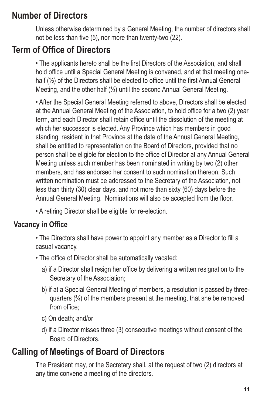## **Number of Directors**

Unless otherwise determined by a General Meeting, the number of directors shall not be less than five (5), nor more than twenty-two (22).

# **Term of Office of Directors**

• The applicants hereto shall be the first Directors of the Association, and shall hold office until a Special General Meeting is convened, and at that meeting onehalf (½) of the Directors shall be elected to office until the first Annual General Meeting, and the other half (½) until the second Annual General Meeting.

• After the Special General Meeting referred to above, Directors shall be elected at the Annual General Meeting of the Association, to hold office for a two (2) year term, and each Director shall retain office until the dissolution of the meeting at which her successor is elected. Any Province which has members in good standing, resident in that Province at the date of the Annual General Meeting, shall be entitled to representation on the Board of Directors, provided that no person shall be eligible for election to the office of Director at any Annual General Meeting unless such member has been nominated in writing by two (2) other members, and has endorsed her consent to such nomination thereon. Such written nomination must be addressed to the Secretary of the Association, not less than thirty (30) clear days, and not more than sixty (60) days before the Annual General Meeting. Nominations will also be accepted from the floor.

• A retiring Director shall be eligible for re-election.

### **Vacancy in Office**

- The Directors shall have power to appoint any member as a Director to fill a casual vacancy.
- The office of Director shall be automatically vacated:
	- a) if a Director shall resign her office by delivering a written resignation to the Secretary of the Association;
	- b) if at a Special General Meeting of members, a resolution is passed by threequarters  $(3/4)$  of the members present at the meeting, that she be removed from office;
	- c) On death; and/or
	- d) if a Director misses three (3) consecutive meetings without consent of the Board of Directors.

# **Calling of Meetings of Board of Directors**

The President may, or the Secretary shall, at the request of two (2) directors at any time convene a meeting of the directors.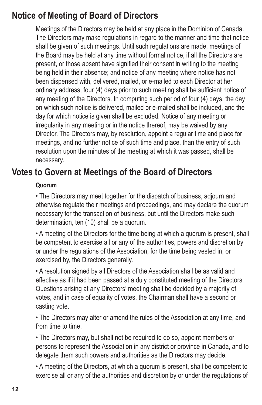## **Notice of Meeting of Board of Directors**

Meetings of the Directors may be held at any place in the Dominion of Canada. The Directors may make regulations in regard to the manner and time that notice shall be given of such meetings. Until such regulations are made, meetings of the Board may be held at any time without formal notice, if all the Directors are present, or those absent have signified their consent in writing to the meeting being held in their absence; and notice of any meeting where notice has not been dispensed with, delivered, mailed, or e-mailed to each Director at her ordinary address, four (4) days prior to such meeting shall be sufficient notice of any meeting of the Directors. In computing such period of four (4) days, the day on which such notice is delivered, mailed or e-mailed shall be included, and the day for which notice is given shall be excluded. Notice of any meeting or irregularity in any meeting or in the notice thereof, may be waived by any Director. The Directors may, by resolution, appoint a regular time and place for meetings, and no further notice of such time and place, than the entry of such resolution upon the minutes of the meeting at which it was passed, shall be necessary.

### **Votes to Govern at Meetings of the Board of Directors**

#### **Quorum**

• The Directors may meet together for the dispatch of business, adjourn and otherwise regulate their meetings and proceedings, and may declare the quorum necessary for the transaction of business, but until the Directors make such determination, ten (10) shall be a quorum.

• A meeting of the Directors for the time being at which a quorum is present, shall be competent to exercise all or any of the authorities, powers and discretion by or under the regulations of the Association, for the time being vested in, or exercised by, the Directors generally.

• A resolution signed by all Directors of the Association shall be as valid and effective as if it had been passed at a duly constituted meeting of the Directors. Questions arising at any Directors' meeting shall be decided by a majority of votes, and in case of equality of votes, the Chairman shall have a second or casting vote.

• The Directors may alter or amend the rules of the Association at any time, and from time to time.

• The Directors may, but shall not be required to do so, appoint members or persons to represent the Association in any district or province in Canada, and to delegate them such powers and authorities as the Directors may decide.

• A meeting of the Directors, at which a quorum is present, shall be competent to exercise all or any of the authorities and discretion by or under the regulations of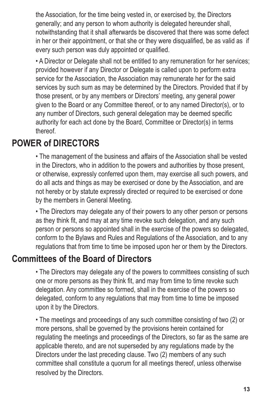the Association, for the time being vested in, or exercised by, the Directors generally; and any person to whom authority is delegated hereunder shall, notwithstanding that it shall afterwards be discovered that there was some defect in her or their appointment, or that she or they were disqualified, be as valid as if every such person was duly appointed or qualified.

• A Director or Delegate shall not be entitled to any remuneration for her services; provided however if any Director or Delegate is called upon to perform extra service for the Association, the Association may remunerate her for the said services by such sum as may be determined by the Directors. Provided that if by those present, or by any members or Directors' meeting, any general power given to the Board or any Committee thereof, or to any named Director(s), or to any number of Directors, such general delegation may be deemed specific authority for each act done by the Board, Committee or Director(s) in terms thereof.

### **POWER of DIRECTORS**

• The management of the business and affairs of the Association shall be vested in the Directors, who in addition to the powers and authorities by those present, or otherwise, expressly conferred upon them, may exercise all such powers, and do all acts and things as may be exercised or done by the Association, and are not hereby or by statute expressly directed or required to be exercised or done by the members in General Meeting.

• The Directors may delegate any of their powers to any other person or persons as they think fit, and may at any time revoke such delegation, and any such person or persons so appointed shall in the exercise of the powers so delegated, conform to the Bylaws and Rules and Regulations of the Association, and to any regulations that from time to time be imposed upon her or them by the Directors.

### **Committees of the Board of Directors**

• The Directors may delegate any of the powers to committees consisting of such one or more persons as they think fit, and may from time to time revoke such delegation. Any committee so formed, shall in the exercise of the powers so delegated, conform to any regulations that may from time to time be imposed upon it by the Directors.

• The meetings and proceedings of any such committee consisting of two (2) or more persons, shall be governed by the provisions herein contained for regulating the meetings and proceedings of the Directors, so far as the same are applicable thereto, and are not superseded by any regulations made by the Directors under the last preceding clause. Two (2) members of any such committee shall constitute a quorum for all meetings thereof, unless otherwise resolved by the Directors.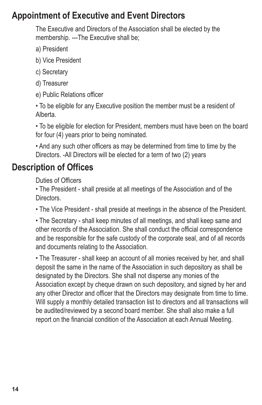### **Appointment of Executive and Event Directors**

The Executive and Directors of the Association shall be elected by the membership. ---The Executive shall be;

- a) President
- b) Vice President
- c) Secretary
- d) Treasurer
- e) Public Relations officer

• To be eligible for any Executive position the member must be a resident of Alberta.

• To be eligible for election for President, members must have been on the board for four (4) years prior to being nominated.

• And any such other officers as may be determined from time to time by the Directors. -All Directors will be elected for a term of two (2) years

# **Description of Offices**

Duties of Officers

• The President - shall preside at all meetings of the Association and of the Directors.

• The Vice President - shall preside at meetings in the absence of the President.

• The Secretary - shall keep minutes of all meetings, and shall keep same and other records of the Association. She shall conduct the official correspondence and be responsible for the safe custody of the corporate seal, and of all records and documents relating to the Association.

• The Treasurer - shall keep an account of all monies received by her, and shall deposit the same in the name of the Association in such depository as shall be designated by the Directors. She shall not disperse any monies of the Association except by cheque drawn on such depository, and signed by her and any other Director and officer that the Directors may designate from time to time. Will supply a monthly detailed transaction list to directors and all transactions will be audited/reviewed by a second board member. She shall also make a full report on the financial condition of the Association at each Annual Meeting.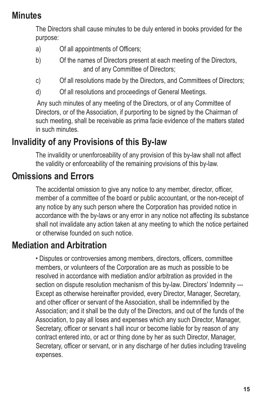### **Minutes**

The Directors shall cause minutes to be duly entered in books provided for the purpose:

- a) Of all appointments of Officers;
- b) Of the names of Directors present at each meeting of the Directors, and of any Committee of Directors;
- c) Of all resolutions made by the Directors, and Committees of Directors;
- d) Of all resolutions and proceedings of General Meetings.

Any such minutes of any meeting of the Directors, or of any Committee of Directors, or of the Association, if purporting to be signed by the Chairman of such meeting, shall be receivable as prima facie evidence of the matters stated in such minutes.

# **Invalidity of any Provisions of this By-law**

The invalidity or unenforceability of any provision of this by-law shall not affect the validity or enforceability of the remaining provisions of this by-law.

# **Omissions and Errors**

The accidental omission to give any notice to any member, director, officer, member of a committee of the board or public accountant, or the non-receipt of any notice by any such person where the Corporation has provided notice in accordance with the by-laws or any error in any notice not affecting its substance shall not invalidate any action taken at any meeting to which the notice pertained or otherwise founded on such notice.

# **Mediation and Arbitration**

• Disputes or controversies among members, directors, officers, committee members, or volunteers of the Corporation are as much as possible to be resolved in accordance with mediation and/or arbitration as provided in the section on dispute resolution mechanism of this by-law. Directors' Indemnity --- Except as otherwise hereinafter provided, every Director, Manager, Secretary, and other officer or servant of the Association, shall be indemnified by the Association; and it shall be the duty of the Directors, and out of the funds of the Association, to pay all loses and expenses which any such Director, Manager, Secretary, officer or servant s hall incur or become liable for by reason of any contract entered into, or act or thing done by her as such Director, Manager, Secretary, officer or servant, or in any discharge of her duties including traveling expenses.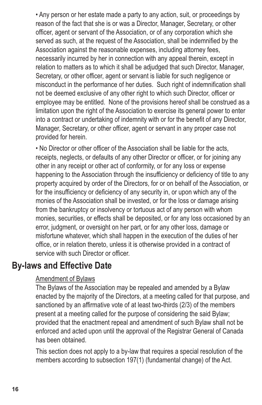• Any person or her estate made a party to any action, suit, or proceedings by reason of the fact that she is or was a Director, Manager, Secretary, or other officer, agent or servant of the Association, or of any corporation which she served as such, at the request of the Association, shall be indemnified by the Association against the reasonable expenses, including attorney fees, necessarily incurred by her in connection with any appeal therein, except in relation to matters as to which it shall be adjudged that such Director, Manager, Secretary, or other officer, agent or servant is liable for such negligence or misconduct in the performance of her duties. Such right of indemnification shall not be deemed exclusive of any other right to which such Director, officer or employee may be entitled. None of the provisions hereof shall be construed as a limitation upon the right of the Association to exercise its general power to enter into a contract or undertaking of indemnity with or for the benefit of any Director, Manager, Secretary, or other officer, agent or servant in any proper case not provided for herein.

• No Director or other officer of the Association shall be liable for the acts, receipts, neglects, or defaults of any other Director or officer, or for joining any other in any receipt or other act of conformity, or for any loss or expense happening to the Association through the insufficiency or deficiency of title to any property acquired by order of the Directors, for or on behalf of the Association, or for the insufficiency or deficiency of any security in, or upon which any of the monies of the Association shall be invested, or for the loss or damage arising from the bankruptcy or insolvency or tortuous act of any person with whom monies, securities, or effects shall be deposited, or for any loss occasioned by an error, judgment, or oversight on her part, or for any other loss, damage or misfortune whatever, which shall happen in the execution of the duties of her office, or in relation thereto, unless it is otherwise provided in a contract of service with such Director or officer.

### **By-laws and Effective Date**

#### Amendment of Bylaws

The Bylaws of the Association may be repealed and amended by a Bylaw enacted by the majority of the Directors, at a meeting called for that purpose, and sanctioned by an affirmative vote of at least two-thirds (2/3) of the members present at a meeting called for the purpose of considering the said Bylaw; provided that the enactment repeal and amendment of such Bylaw shall not be enforced and acted upon until the approval of the Registrar General of Canada has been obtained.

This section does not apply to a by-law that requires a special resolution of the members according to subsection 197(1) (fundamental change) of the Act.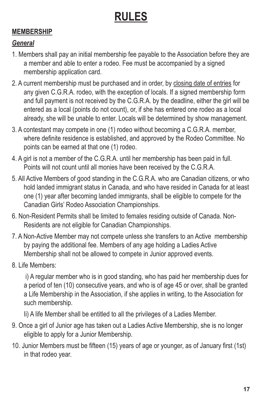# **RULES**

#### **MEMBERSHIP**

#### *General*

- 1. Members shall pay an initial membership fee payable to the Association before they are a member and able to enter a rodeo. Fee must be accompanied by a signed membership application card.
- 2. A current membership must be purchased and in order, by closing date of entries for any given C.G.R.A. rodeo, with the exception of locals. If a signed membership form and full payment is not received by the C.G.R.A. by the deadline, either the girl will be entered as a local (points do not count), or, if she has entered one rodeo as a local already, she will be unable to enter. Locals will be determined by show management.
- 3. A contestant may compete in one (1) rodeo without becoming a C.G.R.A. member, where definite residence is established, and approved by the Rodeo Committee. No points can be earned at that one (1) rodeo.
- 4. A girl is not a member of the C.G.R.A. until her membership has been paid in full. Points will not count until all monies have been received by the C.G.R.A.
- 5. All Active Members of good standing in the C.G.R.A. who are Canadian citizens, or who hold landed immigrant status in Canada, and who have resided in Canada for at least one (1) year after becoming landed immigrants, shall be eligible to compete for the Canadian Girls' Rodeo Association Championships.
- 6. Non-Resident Permits shall be limited to females residing outside of Canada. Non-Residents are not eligible for Canadian Championships.
- 7. A Non-Active Member may not compete unless she transfers to an Active membership by paying the additional fee. Members of any age holding a Ladies Active Membership shall not be allowed to compete in Junior approved events.
- 8. Life Members:

i) A regular member who is in good standing, who has paid her membership dues for a period of ten (10) consecutive years, and who is of age 45 or over, shall be granted a Life Membership in the Association, if she applies in writing, to the Association for such membership.

Ii) A life Member shall be entitled to all the privileges of a Ladies Member.

- 9. Once a girl of Junior age has taken out a Ladies Active Membership, she is no longer eligible to apply for a Junior Membership.
- 10. Junior Members must be fifteen (15) years of age or younger, as of January first (1st) in that rodeo year.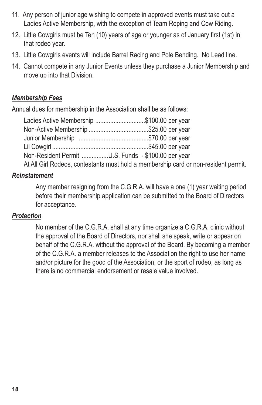- 11. Any person of junior age wishing to compete in approved events must take out a Ladies Active Membership, with the exception of Team Roping and Cow Riding.
- 12. Little Cowgirls must be Ten (10) years of age or younger as of January first (1st) in that rodeo year.
- 13. Little Cowgirls events will include Barrel Racing and Pole Bending. No Lead line.
- 14. Cannot compete in any Junior Events unless they purchase a Junior Membership and move up into that Division.

#### *Membership Fees*

Annual dues for membership in the Association shall be as follows:

| Ladies Active Membership \$100.00 per year                                          |
|-------------------------------------------------------------------------------------|
| Non-Active Membership \$25.00 per year                                              |
|                                                                                     |
|                                                                                     |
| Non-Resident Permit U.S. Funds - \$100.00 per year                                  |
| At All Girl Rodeos, contestants must hold a membership card or non-resident permit. |

#### *Reinstatement*

Any member resigning from the C.G.R.A. will have a one (1) year waiting period before their membership application can be submitted to the Board of Directors for acceptance.

#### *Protection*

No member of the C.G.R.A. shall at any time organize a C.G.R.A. clinic without the approval of the Board of Directors, nor shall she speak, write or appear on behalf of the C.G.R.A. without the approval of the Board. By becoming a member of the C.G.R.A. a member releases to the Association the right to use her name and/or picture for the good of the Association, or the sport of rodeo, as long as there is no commercial endorsement or resale value involved.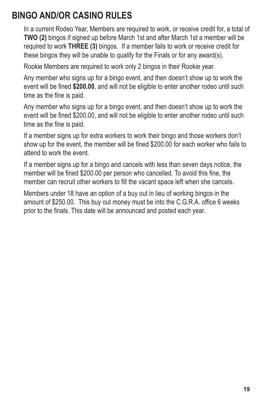## **BINGO AND/OR CASINO RULES**

In a current Rodeo Year, Members are required to work, or receive credit for, a total of **TWO (2)** bingos if signed up before March 1st and after March 1st a member will be required to work **THREE (3)** bingos. If a member fails to work or receive credit for these bingos they will be unable to qualify for the Finals or for any award(s).

Rookie Members are required to work only 2 bingos in their Rookie year.

Any member who signs up for a bingo event, and then doesn't show up to work the event will be fined **\$200.00**, and will not be eligible to enter another rodeo until such time as the fine is paid.

Any member who signs up for a bingo event, and then doesn't show up to work the event will be fined \$200.00, and will not be eligible to enter another rodeo until such time as the fine is paid.

If a member signs up for extra workers to work their bingo and those workers don't show up for the event, the member will be fined \$200.00 for each worker who fails to attend to work the event.

If a member signs up for a bingo and cancels with less than seven days notice, the member will be fined \$200.00 per person who cancelled. To avoid this fine, the member can recruit other workers to fill the vacant space left when she cancels.

Members under 18 have an option of a buy out in lieu of working bingos in the amount of \$250.00. This buy out money must be into the C.G.R.A. office 6 weeks prior to the finals. This date will be announced and posted each year.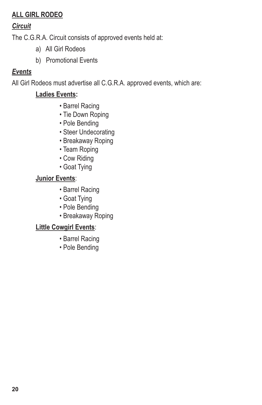#### **ALL GIRL RODEO**

#### *Circuit*

The C.G.R.A. Circuit consists of approved events held at:

- a) All Girl Rodeos
- b) Promotional Events

#### *Events*

All Girl Rodeos must advertise all C.G.R.A. approved events, which are:

#### **Ladies Events:**

- Barrel Racing
- Tie Down Roping
- Pole Bending
- Steer Undecorating
- Breakaway Roping
- Team Roping
- Cow Riding
- Goat Tying

#### **Junior Events**:

- Barrel Racing
- Goat Tying
- Pole Bending
- Breakaway Roping

#### **Little Cowgirl Events**:

- Barrel Racing
- Pole Bending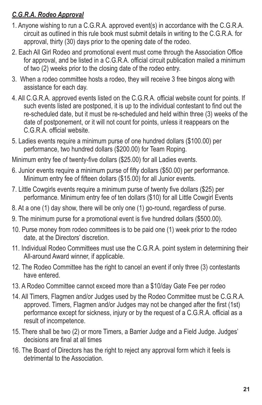#### *C.G.R.A. Rodeo Approval*

- 1. Anyone wishing to run a C.G.R.A. approved event(s) in accordance with the C.G.R.A. circuit as outlined in this rule book must submit details in writing to the C.G.R.A. for approval, thirty (30) days prior to the opening date of the rodeo.
- 2. Each All Girl Rodeo and promotional event must come through the Association Office for approval, and be listed in a C.G.R.A. official circuit publication mailed a minimum of two (2) weeks prior to the closing date of the rodeo entry.
- 3. When a rodeo committee hosts a rodeo, they will receive 3 free bingos along with assistance for each day.
- 4. All C.G.R.A. approved events listed on the C.G.R.A. official website count for points. If such events listed are postponed, it is up to the individual contestant to find out the re-scheduled date, but it must be re-scheduled and held within three (3) weeks of the date of postponement, or it will not count for points, unless it reappears on the C.G.R.A. official website.
- 5. Ladies events require a minimum purse of one hundred dollars (\$100.00) per performance, two hundred dollars (\$200.00) for Team Roping.

Minimum entry fee of twenty-five dollars (\$25.00) for all Ladies events.

- 6. Junior events require a minimum purse of fifty dollars (\$50.00) per performance. Minimum entry fee of fifteen dollars (\$15.00) for all Junior events.
- 7. Little Cowgirls events require a minimum purse of twenty five dollars (\$25) per performance. Minimum entry fee of ten dollars (\$10) for all Little Cowgirl Events
- 8. At a one (1) day show, there will be only one (1) go-round, regardless of purse.
- 9. The minimum purse for a promotional event is five hundred dollars (\$500.00).
- 10. Purse money from rodeo committees is to be paid one (1) week prior to the rodeo date, at the Directors' discretion.
- 11. Individual Rodeo Committees must use the C.G.R.A. point system in determining their All-around Award winner, if applicable.
- 12. The Rodeo Committee has the right to cancel an event if only three (3) contestants have entered.
- 13. A Rodeo Committee cannot exceed more than a \$10/day Gate Fee per rodeo
- 14. All Timers, Flagmen and/or Judges used by the Rodeo Committee must be C.G.R.A. approved. Timers, Flagmen and/or Judges may not be changed after the first (1st) performance except for sickness, injury or by the request of a C.G.R.A. official as a result of incompetence.
- 15. There shall be two (2) or more Timers, a Barrier Judge and a Field Judge. Judges' decisions are final at all times
- 16. The Board of Directors has the right to reject any approval form which it feels is detrimental to the Association.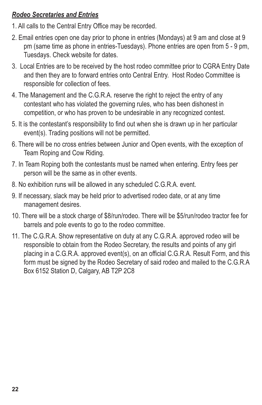#### *Rodeo Secretaries and Entries*

- 1. All calls to the Central Entry Office may be recorded.
- 2. Email entries open one day prior to phone in entries (Mondays) at 9 am and close at 9 pm (same time as phone in entries-Tuesdays). Phone entries are open from 5 - 9 pm, Tuesdays. Check website for dates.
- 3. Local Entries are to be received by the host rodeo committee prior to CGRA Entry Date and then they are to forward entries onto Central Entry. Host Rodeo Committee is responsible for collection of fees.
- 4. The Management and the C.G.R.A. reserve the right to reject the entry of any contestant who has violated the governing rules, who has been dishonest in competition, or who has proven to be undesirable in any recognized contest.
- 5. It is the contestant's responsibility to find out when she is drawn up in her particular event(s). Trading positions will not be permitted.
- 6. There will be no cross entries between Junior and Open events, with the exception of Team Roping and Cow Riding.
- 7. In Team Roping both the contestants must be named when entering. Entry fees per person will be the same as in other events.
- 8. No exhibition runs will be allowed in any scheduled C.G.R.A. event.
- 9. If necessary, slack may be held prior to advertised rodeo date, or at any time management desires.
- 10. There will be a stock charge of \$8/run/rodeo. There will be \$5/run/rodeo tractor fee for barrels and pole events to go to the rodeo committee.
- 11. The C.G.R.A. Show representative on duty at any C.G.R.A. approved rodeo will be responsible to obtain from the Rodeo Secretary, the results and points of any girl placing in a C.G.R.A. approved event(s), on an official C.G.R.A. Result Form, and this form must be signed by the Rodeo Secretary of said rodeo and mailed to the C.G.R.A Box 6152 Station D, Calgary, AB T2P 2C8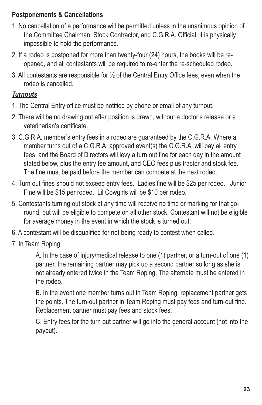#### **Postponements & Cancellations**

- 1. No cancellation of a performance will be permitted unless in the unanimous opinion of the Committee Chairman, Stock Contractor, and C.G.R.A. Official, it is physically impossible to hold the performance.
- 2. If a rodeo is postponed for more than twenty-four (24) hours, the books will be reopened, and all contestants will be required to re-enter the re-scheduled rodeo.
- 3. All contestants are responsible for ½ of the Central Entry Office fees, even when the rodeo is cancelled.

#### *Turnouts*

- 1. The Central Entry office must be notified by phone or email of any turnout.
- 2. There will be no drawing out after position is drawn, without a doctor's release or a veterinarian's certificate.
- 3. C.G.R.A. member's entry fees in a rodeo are guaranteed by the C.G.R.A. Where a member turns out of a C.G.R.A. approved event(s) the C.G.R.A. will pay all entry fees, and the Board of Directors will levy a turn out fine for each day in the amount stated below, plus the entry fee amount, and CEO fees plus tractor and stock fee. The fine must be paid before the member can compete at the next rodeo.
- 4. Turn out fines should not exceed entry fees. Ladies fine will be \$25 per rodeo. Junior Fine will be \$15 per rodeo. Lil Cowgirls will be \$10 per rodeo.
- 5. Contestants turning out stock at any time will receive no time or marking for that goround, but will be eligible to compete on all other stock. Contestant will not be eligible for average money in the event in which the stock is turned out.
- 6. A contestant will be disqualified for not being ready to contest when called.
- 7. In Team Roping:

A. In the case of injury/medical release to one (1) partner, or a turn-out of one (1) partner, the remaining partner may pick up a second partner so long as she is not already entered twice in the Team Roping. The alternate must be entered in the rodeo.

B. In the event one member turns out in Team Roping, replacement partner gets the points. The turn-out partner in Team Roping must pay fees and turn-out fine. Replacement partner must pay fees and stock fees.

C. Entry fees for the turn out partner will go into the general account (not into the payout).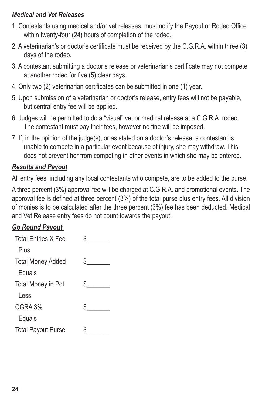#### *Medical and Vet Releases*

- 1. Contestants using medical and/or vet releases, must notify the Payout or Rodeo Office within twenty-four (24) hours of completion of the rodeo.
- 2. A veterinarian's or doctor's certificate must be received by the C.G.R.A. within three (3) days of the rodeo.
- 3. A contestant submitting a doctor's release or veterinarian's certificate may not compete at another rodeo for five (5) clear days.
- 4. Only two (2) veterinarian certificates can be submitted in one (1) year.
- 5. Upon submission of a veterinarian or doctor's release, entry fees will not be payable, but central entry fee will be applied.
- 6. Judges will be permitted to do a "visual" vet or medical release at a C.G.R.A. rodeo. The contestant must pay their fees, however no fine will be imposed.
- 7. If, in the opinion of the judge(s), or as stated on a doctor's release, a contestant is unable to compete in a particular event because of injury, she may withdraw. This does not prevent her from competing in other events in which she may be entered.

#### *Results and Payout*

All entry fees, including any local contestants who compete, are to be added to the purse.

A three percent (3%) approval fee will be charged at C.G.R.A. and promotional events. The approval fee is defined at three percent (3%) of the total purse plus entry fees. All division of monies is to be calculated after the three percent (3%) fee has been deducted. Medical and Vet Release entry fees do not count towards the payout.

#### *Go Round Payout*

| <b>Total Entries X Fee</b> |     |
|----------------------------|-----|
| Plus                       |     |
| <b>Total Money Added</b>   | S.  |
| Equals                     |     |
| <b>Total Money in Pot</b>  | S.  |
| Less                       |     |
| CGRA3%                     | \$. |
| Equals                     |     |
| <b>Total Payout Purse</b>  |     |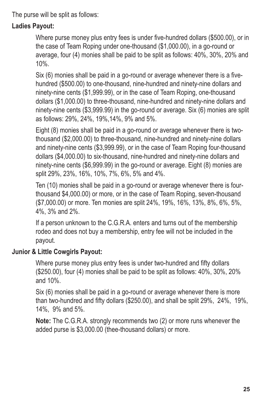The purse will be split as follows:

#### **Ladies Payout:**

Where purse money plus entry fees is under five-hundred dollars (\$500.00), or in the case of Team Roping under one-thousand (\$1,000.00), in a go-round or average, four (4) monies shall be paid to be split as follows: 40%, 30%, 20% and 10%.

Six (6) monies shall be paid in a go-round or average whenever there is a fivehundred (\$500.00) to one-thousand, nine-hundred and ninety-nine dollars and ninety-nine cents (\$1,999.99), or in the case of Team Roping, one-thousand dollars (\$1,000.00) to three-thousand, nine-hundred and ninety-nine dollars and ninety-nine cents (\$3,999.99) in the go-round or average. Six (6) monies are split as follows: 29%, 24%, 19%,14%, 9% and 5%.

Eight (8) monies shall be paid in a go-round or average whenever there is twothousand (\$2,000.00) to three-thousand, nine-hundred and ninety-nine dollars and ninety-nine cents (\$3,999.99), or in the case of Team Roping four-thousand dollars (\$4,000.00) to six-thousand, nine-hundred and ninety-nine dollars and ninety-nine cents (\$6,999.99) in the go-round or average. Eight (8) monies are split 29%, 23%, 16%, 10%, 7%, 6%, 5% and 4%.

Ten (10) monies shall be paid in a go-round or average whenever there is fourthousand \$4,000.00) or more, or in the case of Team Roping, seven-thousand (\$7,000.00) or more. Ten monies are split 24%, 19%, 16%, 13%, 8%, 6%, 5%, 4%, 3% and 2%.

If a person unknown to the C.G.R.A. enters and turns out of the membership rodeo and does not buy a membership, entry fee will not be included in the payout.

#### **Junior & Little Cowgirls Payout:**

Where purse money plus entry fees is under two-hundred and fifty dollars (\$250.00), four (4) monies shall be paid to be split as follows: 40%, 30%, 20% and 10%.

Six (6) monies shall be paid in a go-round or average whenever there is more than two-hundred and fifty dollars (\$250.00), and shall be split 29%, 24%, 19%, 14%, 9% and 5%.

**Note:** The C.G.R.A. strongly recommends two (2) or more runs whenever the added purse is \$3,000.00 (thee-thousand dollars) or more.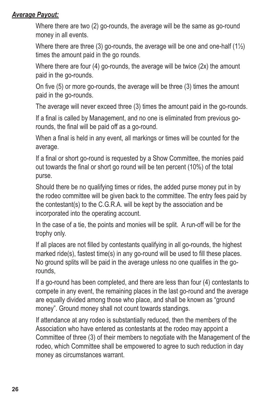#### *Average Payout:*

Where there are two (2) go-rounds, the average will be the same as go-round money in all events.

Where there are three (3) go-rounds, the average will be one and one-half (1½) times the amount paid in the go rounds.

Where there are four (4) go-rounds, the average will be twice (2x) the amount paid in the go-rounds.

On five (5) or more go-rounds, the average will be three (3) times the amount paid in the go-rounds.

The average will never exceed three (3) times the amount paid in the go-rounds.

If a final is called by Management, and no one is eliminated from previous gorounds, the final will be paid off as a go-round.

When a final is held in any event, all markings or times will be counted for the average.

If a final or short go-round is requested by a Show Committee, the monies paid out towards the final or short go round will be ten percent (10%) of the total purse.

Should there be no qualifying times or rides, the added purse money put in by the rodeo committee will be given back to the committee. The entry fees paid by the contestant(s) to the C.G.R.A. will be kept by the association and be incorporated into the operating account.

In the case of a tie, the points and monies will be split. A run-off will be for the trophy only.

If all places are not filled by contestants qualifying in all go-rounds, the highest marked ride(s), fastest time(s) in any go-round will be used to fill these places. No ground splits will be paid in the average unless no one qualifies in the gorounds,

If a go-round has been completed, and there are less than four (4) contestants to compete in any event, the remaining places in the last go-round and the average are equally divided among those who place, and shall be known as "ground money". Ground money shall not count towards standings.

If attendance at any rodeo is substantially reduced, then the members of the Association who have entered as contestants at the rodeo may appoint a Committee of three (3) of their members to negotiate with the Management of the rodeo, which Committee shall be empowered to agree to such reduction in day money as circumstances warrant.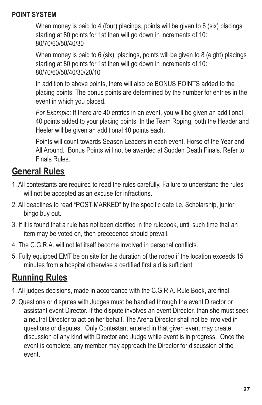#### **POINT SYSTEM**

When money is paid to 4 (four) placings, points will be given to 6 (six) placings starting at 80 points for 1st then will go down in increments of 10: 80/70/60/50/40/30

When money is paid to 6 (six) placings, points will be given to 8 (eight) placings starting at 80 points for 1st then will go down in increments of 10: 80/70/60/50/40/30/20/10

In addition to above points, there will also be BONUS POINTS added to the placing points. The bonus points are determined by the number for entries in the event in which you placed.

*For Example:* If there are 40 entries in an event, you will be given an additional 40 points added to your placing points. In the Team Roping, both the Header and Heeler will be given an additional 40 points each.

Points will count towards Season Leaders in each event, Horse of the Year and All Around. Bonus Points will not be awarded at Sudden Death Finals. Refer to Finals Rules.

# **General Rules**

- 1. All contestants are required to read the rules carefully. Failure to understand the rules will not be accepted as an excuse for infractions.
- 2. All deadlines to read "POST MARKED" by the specific date i.e. Scholarship, junior bingo buy out.
- 3. If it is found that a rule has not been clarified in the rulebook, until such time that an item may be voted on, then precedence should prevail.
- 4. The C.G.R.A. will not let itself become involved in personal conflicts.
- 5. Fully equipped EMT be on site for the duration of the rodeo if the location exceeds 15 minutes from a hospital otherwise a certified first aid is sufficient.

# **Running Rules**

- 1. All judges decisions, made in accordance with the C.G.R.A. Rule Book, are final.
- 2. Questions or disputes with Judges must be handled through the event Director or assistant event Director. If the dispute involves an event Director, than she must seek a neutral Director to act on her behalf. The Arena Director shall not be involved in questions or disputes. Only Contestant entered in that given event may create discussion of any kind with Director and Judge while event is in progress. Once the event is complete, any member may approach the Director for discussion of the event.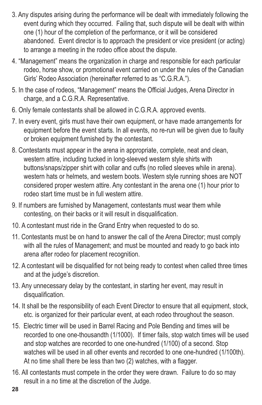- 3. Any disputes arising during the performance will be dealt with immediately following the event during which they occurred. Failing that, such dispute will be dealt with within one (1) hour of the completion of the performance, or it will be considered abandoned. Event director is to approach the president or vice president (or acting) to arrange a meeting in the rodeo office about the dispute.
- 4. "Management" means the organization in charge and responsible for each particular rodeo, horse show, or promotional event carried on under the rules of the Canadian Girls' Rodeo Association (hereinafter referred to as "C.G.R.A.").
- 5. In the case of rodeos, "Management" means the Official Judges, Arena Director in charge, and a C.G.R.A. Representative.
- 6. Only female contestants shall be allowed in C.G.R.A. approved events.
- 7. In every event, girls must have their own equipment, or have made arrangements for equipment before the event starts. In all events, no re-run will be given due to faulty or broken equipment furnished by the contestant.
- 8. Contestants must appear in the arena in appropriate, complete, neat and clean, western attire, including tucked in long-sleeved western style shirts with buttons/snaps/zipper shirt with collar and cuffs (no rolled sleeves while in arena). western hats or helmets, and western boots. Western style running shoes are NOT considered proper western attire. Any contestant in the arena one (1) hour prior to rodeo start time must be in full western attire.
- 9. If numbers are furnished by Management, contestants must wear them while contesting, on their backs or it will result in disqualification.
- 10. A contestant must ride in the Grand Entry when requested to do so.
- 11. Contestants must be on hand to answer the call of the Arena Director; must comply with all the rules of Management; and must be mounted and ready to go back into arena after rodeo for placement recognition.
- 12. A contestant will be disqualified for not being ready to contest when called three times and at the judge's discretion.
- 13. Any unnecessary delay by the contestant, in starting her event, may result in disqualification.
- 14. It shall be the responsibility of each Event Director to ensure that all equipment, stock, etc. is organized for their particular event, at each rodeo throughout the season.
- 15. Electric timer will be used in Barrel Racing and Pole Bending and times will be recorded to one one-thousandth (1/1000). If timer fails, stop watch times will be used and stop watches are recorded to one one-hundred (1/100) of a second. Stop watches will be used in all other events and recorded to one one-hundred (1/100th). At no time shall there be less than two (2) watches, with a flagger.
- 16. All contestants must compete in the order they were drawn. Failure to do so may result in a no time at the discretion of the Judge.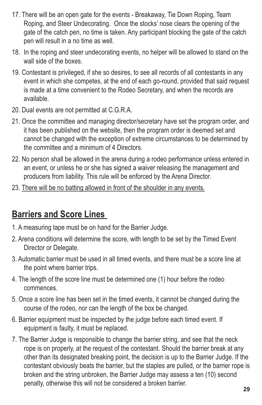- 17. There will be an open gate for the events Breakaway, Tie Down Roping, Team Roping, and Steer Undecorating. Once the stocks' nose clears the opening of the gate of the catch pen, no time is taken. Any participant blocking the gate of the catch pen will result in a no time as well.
- 18. In the roping and steer undecorating events, no helper will be allowed to stand on the wall side of the boxes.
- 19. Contestant is privileged, if she so desires, to see all records of all contestants in any event in which she competes, at the end of each go-round, provided that said request is made at a time convenient to the Rodeo Secretary, and when the records are available.
- 20. Dual events are not permitted at C.G.R.A.
- 21. Once the committee and managing director/secretary have set the program order, and it has been published on the website, then the program order is deemed set and cannot be changed with the exception of extreme circumstances to be determined by the committee and a minimum of 4 Directors.
- 22. No person shall be allowed in the arena during a rodeo performance unless entered in an event, or unless he or she has signed a waiver releasing the management and producers from liability. This rule will be enforced by the Arena Director.
- 23. There will be no batting allowed in front of the shoulder in any events.

### **Barriers and Score Lines**

- 1. A measuring tape must be on hand for the Barrier Judge.
- 2. Arena conditions will determine the score, with length to be set by the Timed Event Director or Delegate.
- 3. Automatic barrier must be used in all timed events, and there must be a score line at the point where barrier trips.
- 4. The length of the score line must be determined one (1) hour before the rodeo commences.
- 5. Once a score line has been set in the timed events, it cannot be changed during the course of the rodeo, nor can the length of the box be changed.
- 6. Barrier equipment must be inspected by the judge before each timed event. If equipment is faulty, it must be replaced.
- 7. The Barrier Judge is responsible to change the barrier string, and see that the neck rope is on properly, at the request of the contestant. Should the barrier break at any other than its designated breaking point, the decision is up to the Barrier Judge. If the contestant obviously beats the barrier, but the staples are pulled, or the barrier rope is broken and the string unbroken, the Barrier Judge may assess a ten (10) second penalty, otherwise this will not be considered a broken barrier.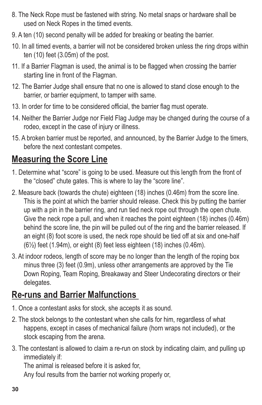- 8. The Neck Rope must be fastened with string. No metal snaps or hardware shall be used on Neck Ropes in the timed events.
- 9. A ten (10) second penalty will be added for breaking or beating the barrier.
- 10. In all timed events, a barrier will not be considered broken unless the ring drops within ten (10) feet (3.05m) of the post.
- 11. If a Barrier Flagman is used, the animal is to be flagged when crossing the barrier starting line in front of the Flagman.
- 12. The Barrier Judge shall ensure that no one is allowed to stand close enough to the barrier, or barrier equipment, to tamper with same.
- 13. In order for time to be considered official, the barrier flag must operate.
- 14. Neither the Barrier Judge nor Field Flag Judge may be changed during the course of a rodeo, except in the case of injury or illness.
- 15. A broken barrier must be reported, and announced, by the Barrier Judge to the timers, before the next contestant competes.

# **Measuring the Score Line**

- 1. Determine what "score" is going to be used. Measure out this length from the front of the "closed" chute gates. This is where to lay the "score line".
- 2. Measure back (towards the chute) eighteen (18) inches (0.46m) from the score line. This is the point at which the barrier should release. Check this by putting the barrier up with a pin in the barrier ring, and run tied neck rope out through the open chute. Give the neck rope a pull, and when it reaches the point eighteen (18) inches (0.46m) behind the score line, the pin will be pulled out of the ring and the barrier released. If an eight (8) foot score is used, the neck rope should be tied off at six and one-half (6½) feet (1.94m), or eight (8) feet less eighteen (18) inches (0.46m).
- 3. At indoor rodeos, length of score may be no longer than the length of the roping box minus three (3) feet (0.9m), unless other arrangements are approved by the Tie Down Roping, Team Roping, Breakaway and Steer Undecorating directors or their delegates.

# **Re-runs and Barrier Malfunctions**

- 1. Once a contestant asks for stock, she accepts it as sound.
- 2. The stock belongs to the contestant when she calls for him, regardless of what happens, except in cases of mechanical failure (horn wraps not included), or the stock escaping from the arena.
- 3. The contestant is allowed to claim a re-run on stock by indicating claim, and pulling up immediately if:

The animal is released before it is asked for,

Any foul results from the barrier not working properly or,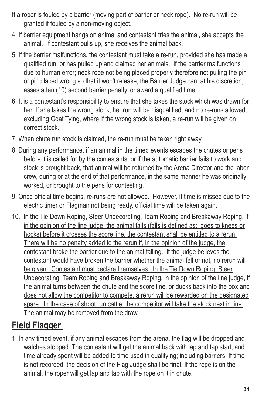- If a roper is fouled by a barrier (moving part of barrier or neck rope). No re-run will be granted if fouled by a non-moving object.
- 4. If barrier equipment hangs on animal and contestant tries the animal, she accepts the animal. If contestant pulls up, she receives the animal back.
- 5. If the barrier malfunctions, the contestant must take a re-run, provided she has made a qualified run, or has pulled up and claimed her animals. If the barrier malfunctions due to human error; neck rope not being placed properly therefore not pulling the pin or pin placed wrong so that it won't release, the Barrier Judge can, at his discretion, asses a ten (10) second barrier penalty, or award a qualified time.
- 6. It is a contestant's responsibility to ensure that she takes the stock which was drawn for her. If she takes the wrong stock, her run will be disqualified, and no re-runs allowed, excluding Goat Tying, where if the wrong stock is taken, a re-run will be given on correct stock.
- 7. When chute run stock is claimed, the re-run must be taken right away.
- 8. During any performance, if an animal in the timed events escapes the chutes or pens before it is called for by the contestants, or if the automatic barrier fails to work and stock is brought back, that animal will be returned by the Arena Director and the labor crew, during or at the end of that performance, in the same manner he was originally worked, or brought to the pens for contesting.
- 9. Once official time begins, re-runs are not allowed. However, if time is missed due to the electric timer or Flagman not being ready, official time will be taken again.
- 10. In the Tie Down Roping, Steer Undecorating, Team Roping and Breakaway Roping, if in the opinion of the line judge, the animal falls (falls is defined as: goes to knees or hocks) before it crosses the score line, the contestant shall be entitled to a rerun. There will be no penalty added to the rerun if, in the opinion of the judge, the contestant broke the barrier due to the animal falling. If the judge believes the contestant would have broken the barrier whether the animal fell or not, no rerun will be given. Contestant must declare themselves. In the Tie Down Roping, Steer Undecorating, Team Roping and Breakaway Roping, in the opinion of the line judge, if the animal turns between the chute and the score line, or ducks back into the box and does not allow the competitor to compete, a rerun will be rewarded on the designated spare. In the case of shoot run cattle, the competitor will take the stock next in line. The animal may be removed from the draw.

# **Field Flagger**

1. In any timed event, if any animal escapes from the arena, the flag will be dropped and watches stopped. The contestant will get the animal back with lap and tap start, and time already spent will be added to time used in qualifying; including barriers. If time is not recorded, the decision of the Flag Judge shall be final. If the rope is on the animal, the roper will get lap and tap with the rope on it in chute.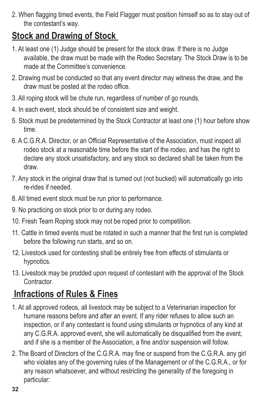2. When flagging timed events, the Field Flagger must position himself so as to stay out of the contestant's way.

# **Stock and Drawing of Stock**

- 1. At least one (1) Judge should be present for the stock draw. If there is no Judge available, the draw must be made with the Rodeo Secretary. The Stock Draw is to be made at the Committee's convenience.
- 2. Drawing must be conducted so that any event director may witness the draw, and the draw must be posted at the rodeo office.
- 3. All roping stock will be chute run, regardless of number of go rounds.
- 4. In each event, stock should be of consistent size and weight.
- 5. Stock must be predetermined by the Stock Contractor at least one (1) hour before show time.
- 6. A C.G.R.A. Director, or an Official Representative of the Association, must inspect all rodeo stock at a reasonable time before the start of the rodeo, and has the right to declare any stock unsatisfactory, and any stock so declared shall be taken from the draw.
- 7. Any stock in the original draw that is turned out (not bucked) will automatically go into re-rides if needed.
- 8. All timed event stock must be run prior to performance.
- 9. No practicing on stock prior to or during any rodeo.
- 10. Fresh Team Roping stock may not be roped prior to competition.
- 11. Cattle in timed events must be rotated in such a manner that the first run is completed before the following run starts, and so on.
- 12. Livestock used for contesting shall be entirely free from effects of stimulants or hypnotics.
- 13. Livestock may be prodded upon request of contestant with the approval of the Stock Contractor.

# **Infractions of Rules & Fines**

- 1. At all approved rodeos, all livestock may be subject to a Veterinarian inspection for humane reasons before and after an event. If any rider refuses to allow such an inspection, or if any contestant is found using stimulants or hypnotics of any kind at any C.G.R.A. approved event, she will automatically be disqualified from the event, and if she is a member of the Association, a fine and/or suspension will follow.
- 2. The Board of Directors of the C.G.R.A. may fine or suspend from the C.G.R.A. any girl who violates any of the governing rules of the Management or of the C.G.R.A., or for any reason whatsoever, and without restricting the generality of the foregoing in particular: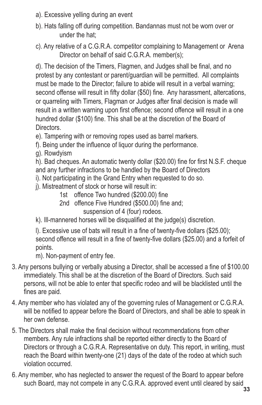- a). Excessive yelling during an event
- b). Hats falling off during competition. Bandannas must not be worn over or under the hat;
- c). Any relative of a C.G.R.A. competitor complaining to Management or Arena Director on behalf of said C.G.R.A. member(s);

d). The decision of the Timers, Flagmen, and Judges shall be final, and no protest by any contestant or parent/guardian will be permitted. All complaints must be made to the Director; failure to abide will result in a verbal warning; second offense will result in fifty dollar (\$50) fine. Any harassment, altercations, or quarreling with Timers, Flagman or Judges after final decision is made will result in a written warning upon first offence; second offence will result in a one hundred dollar (\$100) fine. This shall be at the discretion of the Board of Directors.

- e). Tampering with or removing ropes used as barrel markers.
- f). Being under the influence of liquor during the performance.
- g). Rowdyism

h). Bad cheques. An automatic twenty dollar (\$20.00) fine for first N.S.F. cheque and any further infractions to be handled by the Board of Directors

- i). Not participating in the Grand Entry when requested to do so.
- j). Mistreatment of stock or horse will result in:
	- 1st offence Two hundred (\$200.00) fine
	- 2nd offence Five Hundred (\$500.00) fine and;

suspension of 4 (four) rodeos.

k). Ill-mannered horses will be disqualified at the judge(s) discretion.

l). Excessive use of bats will result in a fine of twenty-five dollars (\$25.00); second offence will result in a fine of twenty-five dollars (\$25.00) and a forfeit of points.

m). Non-payment of entry fee.

- 3. Any persons bullying or verbally abusing a Director, shall be accessed a fine of \$100.00 immediately. This shall be at the discretion of the Board of Directors. Such said persons, will not be able to enter that specific rodeo and will be blacklisted until the fines are paid.
- 4. Any member who has violated any of the governing rules of Management or C.G.R.A. will be notified to appear before the Board of Directors, and shall be able to speak in her own defense.
- 5. The Directors shall make the final decision without recommendations from other members. Any rule infractions shall be reported either directly to the Board of Directors or through a C.G.R.A. Representative on duty. This report, in writing, must reach the Board within twenty-one (21) days of the date of the rodeo at which such violation occurred.
- 6. Any member, who has neglected to answer the request of the Board to appear before such Board, may not compete in any C.G.R.A. approved event until cleared by said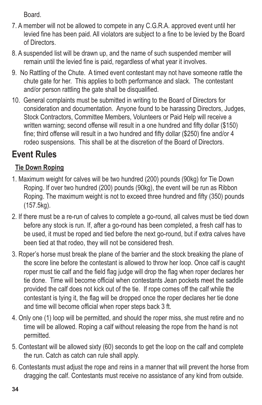Board.

- 7. A member will not be allowed to compete in any C.G.R.A. approved event until her levied fine has been paid. All violators are subject to a fine to be levied by the Board of Directors.
- 8. A suspended list will be drawn up, and the name of such suspended member will remain until the levied fine is paid, regardless of what year it involves.
- 9. No Rattling of the Chute. A timed event contestant may not have someone rattle the chute gate for her. This applies to both performance and slack. The contestant and/or person rattling the gate shall be disqualified.
- 10. General complaints must be submitted in writing to the Board of Directors for consideration and documentation. Anyone found to be harassing Directors, Judges, Stock Contractors, Committee Members, Volunteers or Paid Help will receive a written warning; second offense will result in a one hundred and fifty dollar (\$150) fine; third offense will result in a two hundred and fifty dollar (\$250) fine and/or 4 rodeo suspensions. This shall be at the discretion of the Board of Directors.

# **Event Rules**

### **Tie Down Roping**

- 1. Maximum weight for calves will be two hundred (200) pounds (90kg) for Tie Down Roping. If over two hundred (200) pounds (90kg), the event will be run as Ribbon Roping. The maximum weight is not to exceed three hundred and fifty (350) pounds (157.5kg).
- 2. If there must be a re-run of calves to complete a go-round, all calves must be tied down before any stock is run. If, after a go-round has been completed, a fresh calf has to be used, it must be roped and tied before the next go-round, but if extra calves have been tied at that rodeo, they will not be considered fresh.
- 3. Roper's horse must break the plane of the barrier and the stock breaking the plane of the score line before the contestant is allowed to throw her loop. Once calf is caught roper must tie calf and the field flag judge will drop the flag when roper declares her tie done. Time will become official when contestants Jean pockets meet the saddle provided the calf does not kick out of the tie. If rope comes off the calf while the contestant is tying it, the flag will be dropped once the roper declares her tie done and time will become official when roper steps back 3 ft.
- 4. Only one (1) loop will be permitted, and should the roper miss, she must retire and no time will be allowed. Roping a calf without releasing the rope from the hand is not permitted.
- 5. Contestant will be allowed sixty (60) seconds to get the loop on the calf and complete the run. Catch as catch can rule shall apply.
- 6. Contestants must adjust the rope and reins in a manner that will prevent the horse from dragging the calf. Contestants must receive no assistance of any kind from outside.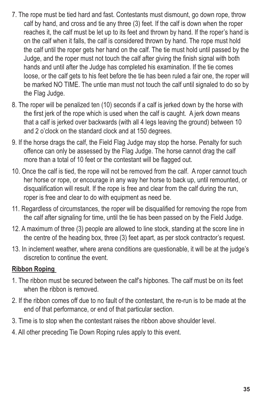- 7. The rope must be tied hard and fast. Contestants must dismount, go down rope, throw calf by hand, and cross and tie any three (3) feet. If the calf is down when the roper reaches it, the calf must be let up to its feet and thrown by hand. If the roper's hand is on the calf when it falls, the calf is considered thrown by hand. The rope must hold the calf until the roper gets her hand on the calf. The tie must hold until passed by the Judge, and the roper must not touch the calf after giving the finish signal with both hands and until after the Judge has completed his examination. If the tie comes loose, or the calf gets to his feet before the tie has been ruled a fair one, the roper will be marked NO TIME. The untie man must not touch the calf until signaled to do so by the Flag Judge.
- 8. The roper will be penalized ten (10) seconds if a calf is jerked down by the horse with the first jerk of the rope which is used when the calf is caught. A jerk down means that a calf is jerked over backwards (with all 4 legs leaving the ground) between 10 and 2 o'clock on the standard clock and at 150 degrees.
- 9. If the horse drags the calf, the Field Flag Judge may stop the horse. Penalty for such offence can only be assessed by the Flag Judge. The horse cannot drag the calf more than a total of 10 feet or the contestant will be flagged out.
- 10. Once the calf is tied, the rope will not be removed from the calf. A roper cannot touch her horse or rope, or encourage in any way her horse to back up, until remounted, or disqualification will result. If the rope is free and clear from the calf during the run, roper is free and clear to do with equipment as need be.
- 11. Regardless of circumstances, the roper will be disqualified for removing the rope from the calf after signaling for time, until the tie has been passed on by the Field Judge.
- 12. A maximum of three (3) people are allowed to line stock, standing at the score line in the centre of the heading box, three (3) feet apart, as per stock contractor's request.
- 13. In inclement weather, where arena conditions are questionable, it will be at the judge's discretion to continue the event.

#### **Ribbon Roping**

- 1. The ribbon must be secured between the calf's hipbones. The calf must be on its feet when the ribbon is removed.
- 2. If the ribbon comes off due to no fault of the contestant, the re-run is to be made at the end of that performance, or end of that particular section.
- 3. Time is to stop when the contestant raises the ribbon above shoulder level.
- 4. All other preceding Tie Down Roping rules apply to this event.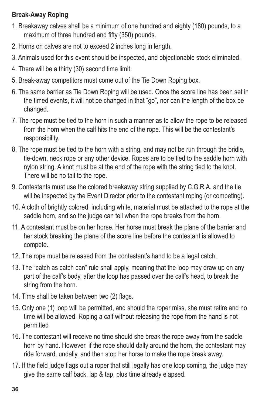#### **Break-Away Roping**

- 1. Breakaway calves shall be a minimum of one hundred and eighty (180) pounds, to a maximum of three hundred and fifty (350) pounds.
- 2. Horns on calves are not to exceed 2 inches long in length.
- 3. Animals used for this event should be inspected, and objectionable stock eliminated.
- 4. There will be a thirty (30) second time limit.
- 5. Break-away competitors must come out of the Tie Down Roping box.
- 6. The same barrier as Tie Down Roping will be used. Once the score line has been set in the timed events, it will not be changed in that "go", nor can the length of the box be changed.
- 7. The rope must be tied to the horn in such a manner as to allow the rope to be released from the horn when the calf hits the end of the rope. This will be the contestant's responsibility.
- 8. The rope must be tied to the horn with a string, and may not be run through the bridle, tie-down, neck rope or any other device. Ropes are to be tied to the saddle horn with nylon string. A knot must be at the end of the rope with the string tied to the knot. There will be no tail to the rope.
- 9. Contestants must use the colored breakaway string supplied by C.G.R.A. and the tie will be inspected by the Event Director prior to the contestant roping (or competing).
- 10. A cloth of brightly colored, including white, material must be attached to the rope at the saddle horn, and so the judge can tell when the rope breaks from the horn.
- 11. A contestant must be on her horse. Her horse must break the plane of the barrier and her stock breaking the plane of the score line before the contestant is allowed to compete.
- 12. The rope must be released from the contestant's hand to be a legal catch.
- 13. The "catch as catch can" rule shall apply, meaning that the loop may draw up on any part of the calf's body, after the loop has passed over the calf's head, to break the string from the horn.
- 14. Time shall be taken between two (2) flags.
- 15. Only one (1) loop will be permitted, and should the roper miss, she must retire and no time will be allowed. Roping a calf without releasing the rope from the hand is not permitted
- 16. The contestant will receive no time should she break the rope away from the saddle horn by hand. However, if the rope should dally around the horn, the contestant may ride forward, undally, and then stop her horse to make the rope break away.
- 17. If the field judge flags out a roper that still legally has one loop coming, the judge may give the same calf back, lap & tap, plus time already elapsed.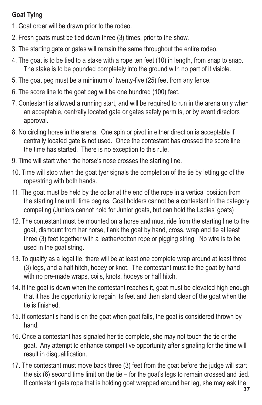#### **Goat Tying**

- 1. Goat order will be drawn prior to the rodeo.
- 2. Fresh goats must be tied down three (3) times, prior to the show.
- 3. The starting gate or gates will remain the same throughout the entire rodeo.
- 4. The goat is to be tied to a stake with a rope ten feet (10) in length, from snap to snap. The stake is to be pounded completely into the ground with no part of it visible.
- 5. The goat peg must be a minimum of twenty-five (25) feet from any fence.
- 6. The score line to the goat peg will be one hundred (100) feet.
- 7. Contestant is allowed a running start, and will be required to run in the arena only when an acceptable, centrally located gate or gates safely permits, or by event directors approval.
- 8. No circling horse in the arena. One spin or pivot in either direction is acceptable if centrally located gate is not used. Once the contestant has crossed the score line the time has started. There is no exception to this rule.
- 9. Time will start when the horse's nose crosses the starting line.
- 10. Time will stop when the goat tyer signals the completion of the tie by letting go of the rope/string with both hands.
- 11. The goat must be held by the collar at the end of the rope in a vertical position from the starting line until time begins. Goat holders cannot be a contestant in the category competing (Juniors cannot hold for Junior goats, but can hold the Ladies' goats)
- 12. The contestant must be mounted on a horse and must ride from the starting line to the goat, dismount from her horse, flank the goat by hand, cross, wrap and tie at least three (3) feet together with a leather/cotton rope or pigging string. No wire is to be used in the goat string.
- 13. To qualify as a legal tie, there will be at least one complete wrap around at least three (3) legs, and a half hitch, hooey or knot. The contestant must tie the goat by hand with no pre-made wraps, coils, knots, hooeys or half hitch.
- 14. If the goat is down when the contestant reaches it, goat must be elevated high enough that it has the opportunity to regain its feet and then stand clear of the goat when the tie is finished.
- 15. If contestant's hand is on the goat when goat falls, the goat is considered thrown by hand.
- 16. Once a contestant has signaled her tie complete, she may not touch the tie or the goat. Any attempt to enhance competitive opportunity after signaling for the time will result in disqualification.
- 17. The contestant must move back three (3) feet from the goat before the judge will start the six (6) second time limit on the tie – for the goat's legs to remain crossed and tied. If contestant gets rope that is holding goat wrapped around her leg, she may ask the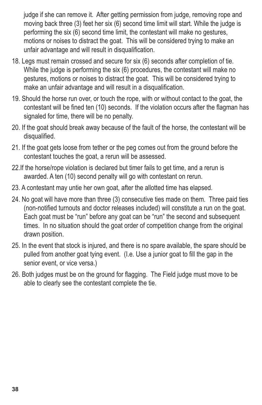judge if she can remove it. After getting permission from judge, removing rope and moving back three (3) feet her six (6) second time limit will start. While the judge is performing the six (6) second time limit, the contestant will make no gestures, motions or noises to distract the goat. This will be considered trying to make an unfair advantage and will result in disqualification.

- 18. Legs must remain crossed and secure for six (6) seconds after completion of tie. While the judge is performing the six (6) procedures, the contestant will make no gestures, motions or noises to distract the goat. This will be considered trying to make an unfair advantage and will result in a disqualification.
- 19. Should the horse run over, or touch the rope, with or without contact to the goat, the contestant will be fined ten (10) seconds. If the violation occurs after the flagman has signaled for time, there will be no penalty.
- 20. If the goat should break away because of the fault of the horse, the contestant will be disqualified.
- 21. If the goat gets loose from tether or the peg comes out from the ground before the contestant touches the goat, a rerun will be assessed.
- 22.If the horse/rope violation is declared but timer fails to get time, and a rerun is awarded. A ten (10) second penalty will go with contestant on rerun.
- 23. A contestant may untie her own goat, after the allotted time has elapsed.
- 24. No goat will have more than three (3) consecutive ties made on them. Three paid ties (non-notified turnouts and doctor releases included) will constitute a run on the goat. Each goat must be "run" before any goat can be "run" the second and subsequent times. In no situation should the goat order of competition change from the original drawn position.
- 25. In the event that stock is injured, and there is no spare available, the spare should be pulled from another goat tying event. (I.e. Use a junior goat to fill the gap in the senior event, or vice versa.)
- 26. Both judges must be on the ground for flagging. The Field judge must move to be able to clearly see the contestant complete the tie.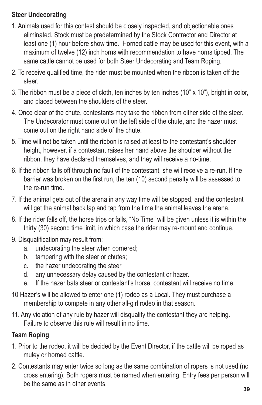#### **Steer Undecorating**

- 1. Animals used for this contest should be closely inspected, and objectionable ones eliminated. Stock must be predetermined by the Stock Contractor and Director at least one (1) hour before show time. Horned cattle may be used for this event, with a maximum of twelve (12) inch horns with recommendation to have horns tipped. The same cattle cannot be used for both Steer Undecorating and Team Roping.
- 2. To receive qualified time, the rider must be mounted when the ribbon is taken off the steer.
- 3. The ribbon must be a piece of cloth, ten inches by ten inches (10" x 10"), bright in color, and placed between the shoulders of the steer.
- 4. Once clear of the chute, contestants may take the ribbon from either side of the steer. The Undecorator must come out on the left side of the chute, and the hazer must come out on the right hand side of the chute.
- 5. Time will not be taken until the ribbon is raised at least to the contestant's shoulder height, however, if a contestant raises her hand above the shoulder without the ribbon, they have declared themselves, and they will receive a no-time.
- 6. If the ribbon falls off through no fault of the contestant, she will receive a re-run. If the barrier was broken on the first run, the ten (10) second penalty will be assessed to the re-run time.
- 7. If the animal gets out of the arena in any way time will be stopped, and the contestant will get the animal back lap and tap from the time the animal leaves the arena.
- 8. If the rider falls off, the horse trips or falls, "No Time" will be given unless it is within the thirty (30) second time limit, in which case the rider may re-mount and continue.
- 9. Disqualification may result from:
	- a. undecorating the steer when cornered;
	- b. tampering with the steer or chutes;
	- c. the hazer undecorating the steer
	- d. any unnecessary delay caused by the contestant or hazer.
	- e. If the hazer bats steer or contestant's horse, contestant will receive no time.
- 10 Hazer's will be allowed to enter one (1) rodeo as a Local. They must purchase a membership to compete in any other all-girl rodeo in that season.
- 11. Any violation of any rule by hazer will disqualify the contestant they are helping. Failure to observe this rule will result in no time.

### **Team Roping**

- 1. Prior to the rodeo, it will be decided by the Event Director, if the cattle will be roped as muley or horned cattle.
- 2. Contestants may enter twice so long as the same combination of ropers is not used (no cross entering). Both ropers must be named when entering. Entry fees per person will be the same as in other events.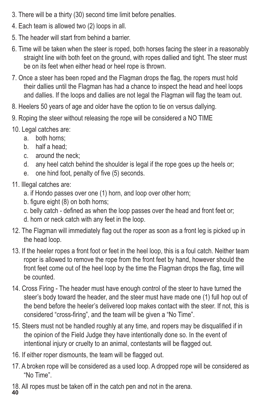- 3. There will be a thirty (30) second time limit before penalties.
- 4. Each team is allowed two (2) loops in all.
- 5. The header will start from behind a barrier.
- 6. Time will be taken when the steer is roped, both horses facing the steer in a reasonably straight line with both feet on the ground, with ropes dallied and tight. The steer must be on its feet when either head or heel rope is thrown.
- 7. Once a steer has been roped and the Flagman drops the flag, the ropers must hold their dallies until the Flagman has had a chance to inspect the head and heel loops and dallies. If the loops and dallies are not legal the Flagman will flag the team out.
- 8. Heelers 50 years of age and older have the option to tie on versus dallying.
- 9. Roping the steer without releasing the rope will be considered a NO TIME
- 10. Legal catches are:
	- a. both horns;
	- b. half a head;
	- c. around the neck;
	- d. any heel catch behind the shoulder is legal if the rope goes up the heels or;
	- e. one hind foot, penalty of five (5) seconds.
- 11. Illegal catches are:
	- a. if Hondo passes over one (1) horn, and loop over other horn;
	- b. figure eight (8) on both horns;
	- c. belly catch defined as when the loop passes over the head and front feet or;
	- d. horn or neck catch with any feet in the loop.
- 12. The Flagman will immediately flag out the roper as soon as a front leg is picked up in the head loop.
- 13. If the heeler ropes a front foot or feet in the heel loop, this is a foul catch. Neither team roper is allowed to remove the rope from the front feet by hand, however should the front feet come out of the heel loop by the time the Flagman drops the flag, time will be counted.
- 14. Cross Firing The header must have enough control of the steer to have turned the steer's body toward the header, and the steer must have made one (1) full hop out of the bend before the heeler's delivered loop makes contact with the steer. If not, this is considered "cross-firing", and the team will be given a "No Time".
- 15. Steers must not be handled roughly at any time, and ropers may be disqualified if in the opinion of the Field Judge they have intentionally done so. In the event of intentional injury or cruelty to an animal, contestants will be flagged out.
- 16. If either roper dismounts, the team will be flagged out.
- 17. A broken rope will be considered as a used loop. A dropped rope will be considered as "No Time".
- 18. All ropes must be taken off in the catch pen and not in the arena. **40**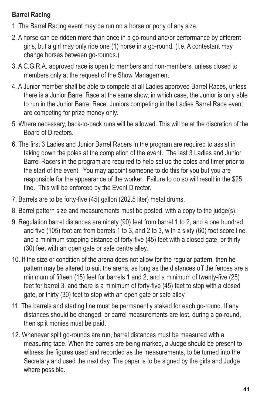#### **Barrel Racing**

- 1. The Barrel Racing event may be run on a horse or pony of any size.
- 2. A horse can be ridden more than once in a go-round and/or performance by different girls, but a girl may only ride one (1) horse in a go-round. (I.e. A contestant may change horses between go-rounds.)
- 3. A C.G.R.A. approved race is open to members and non-members, unless closed to members only at the request of the Show Management.
- 4. A Junior member shall be able to compete at all Ladies approved Barrel Races, unless there is a Junior Barrel Race at the same show, in which case, the Junior is only able to run in the Junior Barrel Race. Juniors competing in the Ladies Barrel Race event are competing for prize money only.
- 5. Where necessary, back-to-back runs will be allowed. This will be at the discretion of the Board of Directors.
- 6. The first 3 Ladies and Junior Barrel Racers in the program are required to assist in taking down the poles at the completion of the event. The last 3 Ladies and Junior Barrel Racers in the program are required to help set up the poles and timer prior to the start of the event. You may appoint someone to do this for you but you are responsible for the appearance of the worker. Failure to do so will result in the \$25 fine. This will be enforced by the Event Director.
- 7. Barrels are to be forty-five (45) gallon (202.5 liter) metal drums.
- 8. Barrel pattern size and measurements must be posted, with a copy to the judge(s).
- 9. Regulation barrel distances are ninety (90) feet from barrel 1 to 2, and a one hundred and five (105) foot arc from barrels 1 to 3, and 2 to 3, with a sixty (60) foot score line, and a minimum stopping distance of forty-five (45) feet with a closed gate, or thirty (30) feet with an open gate or safe centre alley.
- 10. If the size or condition of the arena does not allow for the regular pattern, then he pattern may be altered to suit the arena, as long as the distances off the fences are a minimum of fifteen (15) feet for barrels 1 and 2, and a minimum of twenty-five (25) feet for barrel 3, and there is a minimum of forty-five (45) feet to stop with a closed gate, or thirty (30) feet to stop with an open gate or safe alley.
- 11. The barrels and starting line must be permanently staked for each go-round. If any distances should be changed, or barrel measurements are lost, during a go-round, then split monies must be paid.
- 12. Whenever split go-rounds are run, barrel distances must be measured with a measuring tape. When the barrels are being marked, a Judge should be present to witness the figures used and recorded as the measurements, to be turned into the Secretary and used the next day. The paper is to be signed by the girls and Judge where possible.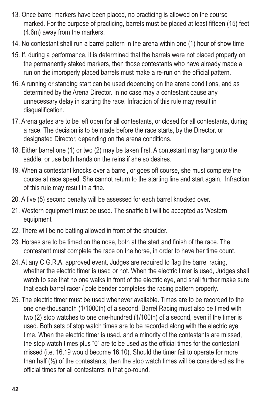- 13. Once barrel markers have been placed, no practicing is allowed on the course marked. For the purpose of practicing, barrels must be placed at least fifteen (15) feet (4.6m) away from the markers.
- 14. No contestant shall run a barrel pattern in the arena within one (1) hour of show time
- 15. If, during a performance, it is determined that the barrels were not placed properly on the permanently staked markers, then those contestants who have already made a run on the improperly placed barrels must make a re-run on the official pattern.
- 16. A running or standing start can be used depending on the arena conditions, and as determined by the Arena Director. In no case may a contestant cause any unnecessary delay in starting the race. Infraction of this rule may result in disqualification.
- 17. Arena gates are to be left open for all contestants, or closed for all contestants, during a race. The decision is to be made before the race starts, by the Director, or designated Director, depending on the arena conditions.
- 18. Either barrel one (1) or two (2) may be taken first. A contestant may hang onto the saddle, or use both hands on the reins if she so desires.
- 19. When a contestant knocks over a barrel, or goes off course, she must complete the course at race speed. She cannot return to the starting line and start again. Infraction of this rule may result in a fine.
- 20. A five (5) second penalty will be assessed for each barrel knocked over.
- 21. Western equipment must be used. The snaffle bit will be accepted as Western equipment
- 22. There will be no batting allowed in front of the shoulder.
- 23. Horses are to be timed on the nose, both at the start and finish of the race. The contestant must complete the race on the horse, in order to have her time count.
- 24. At any C.G.R.A. approved event, Judges are required to flag the barrel racing, whether the electric timer is used or not. When the electric timer is used, Judges shall watch to see that no one walks in front of the electric eye, and shall further make sure that each barrel racer / pole bender completes the racing pattern properly.
- 25. The electric timer must be used whenever available. Times are to be recorded to the one one-thousandth (1/1000th) of a second. Barrel Racing must also be timed with two (2) stop watches to one one-hundred (1/100th) of a second, even if the timer is used. Both sets of stop watch times are to be recorded along with the electric eye time. When the electric timer is used, and a minority of the contestants are missed, the stop watch times plus "0" are to be used as the official times for the contestant missed (i.e. 16.19 would become 16.10). Should the timer fail to operate for more than half (½) of the contestants, then the stop watch times will be considered as the official times for all contestants in that go-round.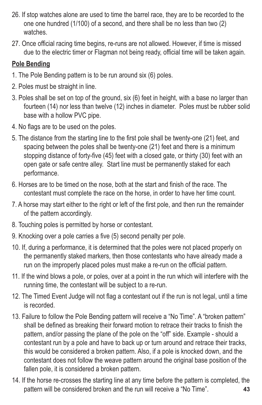- 26. If stop watches alone are used to time the barrel race, they are to be recorded to the one one hundred (1/100) of a second, and there shall be no less than two (2) watches.
- 27. Once official racing time begins, re-runs are not allowed. However, if time is missed due to the electric timer or Flagman not being ready, official time will be taken again.

#### **Pole Bending**

- 1. The Pole Bending pattern is to be run around six (6) poles.
- 2. Poles must be straight in line.
- 3. Poles shall be set on top of the ground, six (6) feet in height, with a base no larger than fourteen (14) nor less than twelve (12) inches in diameter. Poles must be rubber solid base with a hollow PVC pipe.
- 4. No flags are to be used on the poles.
- 5. The distance from the starting line to the first pole shall be twenty-one (21) feet, and spacing between the poles shall be twenty-one (21) feet and there is a minimum stopping distance of forty-five (45) feet with a closed gate, or thirty (30) feet with an open gate or safe centre alley. Start line must be permanently staked for each performance.
- 6. Horses are to be timed on the nose, both at the start and finish of the race. The contestant must complete the race on the horse, in order to have her time count.
- 7. A horse may start either to the right or left of the first pole, and then run the remainder of the pattern accordingly.
- 8. Touching poles is permitted by horse or contestant.
- 9. Knocking over a pole carries a five (5) second penalty per pole.
- 10. If, during a performance, it is determined that the poles were not placed properly on the permanently staked markers, then those contestants who have already made a run on the improperly placed poles must make a re-run on the official pattern.
- 11. If the wind blows a pole, or poles, over at a point in the run which will interfere with the running time, the contestant will be subject to a re-run.
- 12. The Timed Event Judge will not flag a contestant out if the run is not legal, until a time is recorded.
- 13. Failure to follow the Pole Bending pattern will receive a "No Time". A "broken pattern" shall be defined as breaking their forward motion to retrace their tracks to finish the pattern, and/or passing the plane of the pole on the "off" side. Example - should a contestant run by a pole and have to back up or turn around and retrace their tracks, this would be considered a broken pattern. Also, if a pole is knocked down, and the contestant does not follow the weave pattern around the original base position of the fallen pole, it is considered a broken pattern.
- **43** 14. If the horse re-crosses the starting line at any time before the pattern is completed, the pattern will be considered broken and the run will receive a "No Time".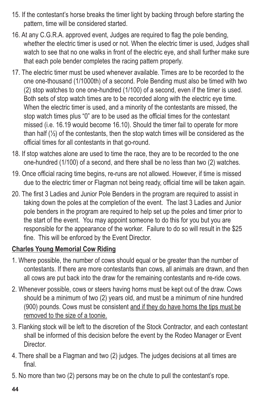- 15. If the contestant's horse breaks the timer light by backing through before starting the pattern, time will be considered started.
- 16. At any C.G.R.A. approved event, Judges are required to flag the pole bending, whether the electric timer is used or not. When the electric timer is used, Judges shall watch to see that no one walks in front of the electric eye, and shall further make sure that each pole bender completes the racing pattern properly.
- 17. The electric timer must be used whenever available. Times are to be recorded to the one one-thousand (1/1000th) of a second. Pole Bending must also be timed with two (2) stop watches to one one-hundred (1/100) of a second, even if the timer is used. Both sets of stop watch times are to be recorded along with the electric eye time. When the electric timer is used, and a minority of the contestants are missed, the stop watch times plus "0" are to be used as the official times for the contestant missed (i.e. 16.19 would become 16.10). Should the timer fail to operate for more than half (½) of the contestants, then the stop watch times will be considered as the official times for all contestants in that go-round.
- 18. If stop watches alone are used to time the race, they are to be recorded to the one one-hundred (1/100) of a second, and there shall be no less than two (2) watches.
- 19. Once official racing time begins, re-runs are not allowed. However, if time is missed due to the electric timer or Flagman not being ready, official time will be taken again.
- 20. The first 3 Ladies and Junior Pole Benders in the program are required to assist in taking down the poles at the completion of the event. The last 3 Ladies and Junior pole benders in the program are required to help set up the poles and timer prior to the start of the event. You may appoint someone to do this for you but you are responsible for the appearance of the worker. Failure to do so will result in the \$25 fine. This will be enforced by the Event Director.

#### **Charles Young Memorial Cow Riding**

- 1. Where possible, the number of cows should equal or be greater than the number of contestants. If there are more contestants than cows, all animals are drawn, and then all cows are put back into the draw for the remaining contestants and re-ride cows.
- 2. Whenever possible, cows or steers having horns must be kept out of the draw. Cows should be a minimum of two (2) years old, and must be a minimum of nine hundred (900) pounds. Cows must be consistent and if they do have horns the tips must be removed to the size of a toonie.
- 3. Flanking stock will be left to the discretion of the Stock Contractor, and each contestant shall be informed of this decision before the event by the Rodeo Manager or Event **Director**
- 4. There shall be a Flagman and two (2) judges. The judges decisions at all times are final.
- 5. No more than two (2) persons may be on the chute to pull the contestant's rope.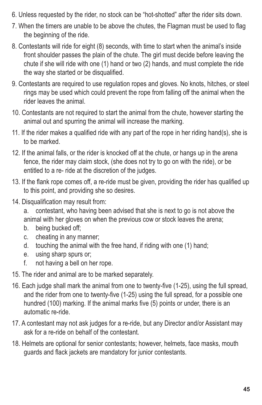- 6. Unless requested by the rider, no stock can be "hot-shotted" after the rider sits down.
- 7. When the timers are unable to be above the chutes, the Flagman must be used to flag the beginning of the ride.
- 8. Contestants will ride for eight (8) seconds, with time to start when the animal's inside front shoulder passes the plain of the chute. The girl must decide before leaving the chute if she will ride with one (1) hand or two (2) hands, and must complete the ride the way she started or be disqualified.
- 9. Contestants are required to use regulation ropes and gloves. No knots, hitches, or steel rings may be used which could prevent the rope from falling off the animal when the rider leaves the animal.
- 10. Contestants are not required to start the animal from the chute, however starting the animal out and spurring the animal will increase the marking.
- 11. If the rider makes a qualified ride with any part of the rope in her riding hand(s), she is to be marked.
- 12. If the animal falls, or the rider is knocked off at the chute, or hangs up in the arena fence, the rider may claim stock, (she does not try to go on with the ride), or be entitled to a re- ride at the discretion of the judges.
- 13. If the flank rope comes off, a re-ride must be given, providing the rider has qualified up to this point, and providing she so desires.
- 14. Disqualification may result from:
	- a. contestant, who having been advised that she is next to go is not above the animal with her gloves on when the previous cow or stock leaves the arena;
	- b. being bucked off;
	- c. cheating in any manner;
	- d. touching the animal with the free hand, if riding with one (1) hand;
	- e. using sharp spurs or;
	- f. not having a bell on her rope.
- 15. The rider and animal are to be marked separately.
- 16. Each judge shall mark the animal from one to twenty-five (1-25), using the full spread, and the rider from one to twenty-five (1-25) using the full spread, for a possible one hundred (100) marking. If the animal marks five (5) points or under, there is an automatic re-ride.
- 17. A contestant may not ask judges for a re-ride, but any Director and/or Assistant may ask for a re-ride on behalf of the contestant.
- 18. Helmets are optional for senior contestants; however, helmets, face masks, mouth guards and flack jackets are mandatory for junior contestants.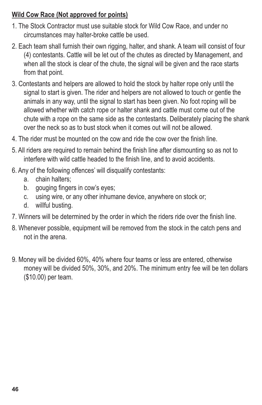#### **Wild Cow Race (Not approved for points)**

- 1. The Stock Contractor must use suitable stock for Wild Cow Race, and under no circumstances may halter-broke cattle be used.
- 2. Each team shall furnish their own rigging, halter, and shank. A team will consist of four (4) contestants. Cattle will be let out of the chutes as directed by Management, and when all the stock is clear of the chute, the signal will be given and the race starts from that point.
- 3. Contestants and helpers are allowed to hold the stock by halter rope only until the signal to start is given. The rider and helpers are not allowed to touch or gentle the animals in any way, until the signal to start has been given. No foot roping will be allowed whether with catch rope or halter shank and cattle must come out of the chute with a rope on the same side as the contestants. Deliberately placing the shank over the neck so as to bust stock when it comes out will not be allowed.
- 4. The rider must be mounted on the cow and ride the cow over the finish line.
- 5. All riders are required to remain behind the finish line after dismounting so as not to interfere with wild cattle headed to the finish line, and to avoid accidents.
- 6. Any of the following offences' will disqualify contestants:
	- a. chain halters;
	- b. gouging fingers in cow's eyes;
	- c. using wire, or any other inhumane device, anywhere on stock or;
	- d. willful busting.
- 7. Winners will be determined by the order in which the riders ride over the finish line.
- 8. Whenever possible, equipment will be removed from the stock in the catch pens and not in the arena.
- 9. Money will be divided 60%, 40% where four teams or less are entered, otherwise money will be divided 50%, 30%, and 20%. The minimum entry fee will be ten dollars (\$10.00) per team.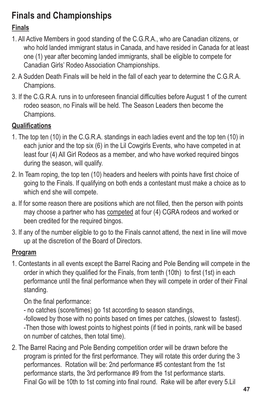# **Finals and Championships**

### **Finals**

- 1. All Active Members in good standing of the C.G.R.A., who are Canadian citizens, or who hold landed immigrant status in Canada, and have resided in Canada for at least one (1) year after becoming landed immigrants, shall be eligible to compete for Canadian Girls' Rodeo Association Championships.
- 2. A Sudden Death Finals will be held in the fall of each year to determine the C.G.R.A. Champions.
- 3. If the C.G.R.A. runs in to unforeseen financial difficulties before August 1 of the current rodeo season, no Finals will be held. The Season Leaders then become the Champions.

### **Qualifications**

- 1. The top ten (10) in the C.G.R.A. standings in each ladies event and the top ten (10) in each junior and the top six (6) in the Lil Cowgirls Events, who have competed in at least four (4) All Girl Rodeos as a member, and who have worked required bingos during the season, will qualify.
- 2. In Team roping, the top ten (10) headers and heelers with points have first choice of going to the Finals. If qualifying on both ends a contestant must make a choice as to which end she will compete.
- a. If for some reason there are positions which are not filled, then the person with points may choose a partner who has competed at four (4) CGRA rodeos and worked or been credited for the required bingos.
- 3. If any of the number eligible to go to the Finals cannot attend, the next in line will move up at the discretion of the Board of Directors.

### **Program**

1. Contestants in all events except the Barrel Racing and Pole Bending will compete in the order in which they qualified for the Finals, from tenth (10th) to first (1st) in each performance until the final performance when they will compete in order of their Final standing.

On the final performance:

- no catches (score/times) go 1st according to season standings,

-followed by those with no points based on times per catches, (slowest to fastest). -Then those with lowest points to highest points (if tied in points, rank will be based on number of catches, then total time).

2. The Barrel Racing and Pole Bending competition order will be drawn before the program is printed for the first performance. They will rotate this order during the 3 performances. Rotation will be: 2nd performance #5 contestant from the 1st performance starts, the 3rd performance #9 from the 1st performance starts. Final Go will be 10th to 1st coming into final round. Rake will be after every 5.Lil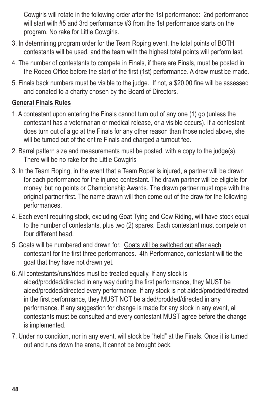Cowgirls will rotate in the following order after the 1st performance: 2nd performance will start with #5 and 3rd performance #3 from the 1st performance starts on the program. No rake for Little Cowgirls.

- 3. In determining program order for the Team Roping event, the total points of BOTH contestants will be used, and the team with the highest total points will perform last.
- 4. The number of contestants to compete in Finals, if there are Finals, must be posted in the Rodeo Office before the start of the first (1st) performance. A draw must be made.
- 5. Finals back numbers must be visible to the judge. If not, a \$20.00 fine will be assessed and donated to a charity chosen by the Board of Directors.

#### **General Finals Rules**

- 1. A contestant upon entering the Finals cannot turn out of any one (1) go (unless the contestant has a veterinarian or medical release, or a visible occurs). If a contestant does turn out of a go at the Finals for any other reason than those noted above, she will be turned out of the entire Finals and charged a turnout fee.
- 2. Barrel pattern size and measurements must be posted, with a copy to the judge(s). There will be no rake for the Little Cowgirls
- 3. In the Team Roping, in the event that a Team Roper is injured, a partner will be drawn for each performance for the injured contestant. The drawn partner will be eligible for money, but no points or Championship Awards. The drawn partner must rope with the original partner first. The name drawn will then come out of the draw for the following performances.
- 4. Each event requiring stock, excluding Goat Tying and Cow Riding, will have stock equal to the number of contestants, plus two (2) spares. Each contestant must compete on four different head.
- 5. Goats will be numbered and drawn for. Goats will be switched out after each contestant for the first three performances. 4th Performance, contestant will tie the goat that they have not drawn yet.
- 6. All contestants/runs/rides must be treated equally. If any stock is aided/prodded/directed in any way during the first performance, they MUST be aided/prodded/directed every performance. If any stock is not aided/prodded/directed in the first performance, they MUST NOT be aided/prodded/directed in any performance. If any suggestion for change is made for any stock in any event, all contestants must be consulted and every contestant MUST agree before the change is implemented.
- 7. Under no condition, nor in any event, will stock be "held" at the Finals. Once it is turned out and runs down the arena, it cannot be brought back.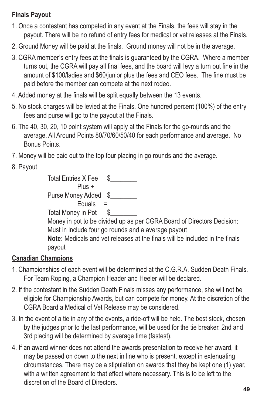#### **Finals Payout**

- 1. Once a contestant has competed in any event at the Finals, the fees will stay in the payout. There will be no refund of entry fees for medical or vet releases at the Finals.
- 2. Ground Money will be paid at the finals. Ground money will not be in the average.
- 3. CGRA member's entry fees at the finals is guaranteed by the CGRA. Where a member turns out, the CGRA will pay all final fees, and the board will levy a turn out fine in the amount of \$100/ladies and \$60/junior plus the fees and CEO fees. The fine must be paid before the member can compete at the next rodeo.
- 4. Added money at the finals will be split equally between the 13 events.
- 5. No stock charges will be levied at the Finals. One hundred percent (100%) of the entry fees and purse will go to the payout at the Finals.
- 6. The 40, 30, 20, 10 point system will apply at the Finals for the go-rounds and the average. All Around Points 80/70/60/50/40 for each performance and average. No Bonus Points.
- 7. Money will be paid out to the top four placing in go rounds and the average.
- 8. Payout

| <b>Total Entries X Fee</b>                                                   |
|------------------------------------------------------------------------------|
| Plus +                                                                       |
| Purse Money Added \$                                                         |
| Equals $=$                                                                   |
| Total Money in Pot \$                                                        |
| Money in pot to be divided up as per CGRA Board of Directors Decision:       |
| Must in include four go rounds and a average payout                          |
| Note: Medicals and vet releases at the finals will be included in the finals |
| payout                                                                       |

#### **Canadian Champions**

- 1. Championships of each event will be determined at the C.G.R.A. Sudden Death Finals. For Team Roping, a Champion Header and Heeler will be declared.
- 2. If the contestant in the Sudden Death Finals misses any performance, she will not be eligible for Championship Awards, but can compete for money. At the discretion of the CGRA Board a Medical of Vet Release may be considered.
- 3. In the event of a tie in any of the events, a ride-off will be held. The best stock, chosen by the judges prior to the last performance, will be used for the tie breaker. 2nd and 3rd placing will be determined by average time (fastest).
- 4. If an award winner does not attend the awards presentation to receive her award, it may be passed on down to the next in line who is present, except in extenuating circumstances. There may be a stipulation on awards that they be kept one (1) year, with a written agreement to that effect where necessary. This is to be left to the discretion of the Board of Directors.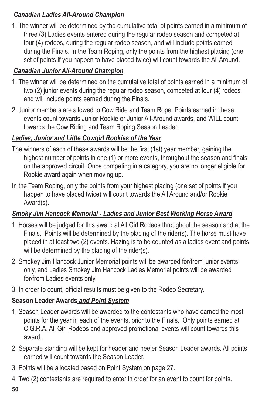#### *Canadian Ladies All-Around Champion*

1. The winner will be determined by the cumulative total of points earned in a minimum of three (3) Ladies events entered during the regular rodeo season and competed at four (4) rodeos, during the regular rodeo season, and will include points earned during the Finals. In the Team Roping, only the points from the highest placing (one set of points if you happen to have placed twice) will count towards the All Around.

### *Canadian Junior All-Around Champion*

- 1. The winner will be determined on the cumulative total of points earned in a minimum of two (2) junior events during the regular rodeo season, competed at four (4) rodeos and will include points earned during the Finals.
- 2. Junior members are allowed to Cow Ride and Team Rope. Points earned in these events count towards Junior Rookie or Junior All-Around awards, and WILL count towards the Cow Riding and Team Roping Season Leader.

### *Ladies, Junior and Little Cowgirl Rookies of the Year*

- The winners of each of these awards will be the first (1st) year member, gaining the highest number of points in one (1) or more events, throughout the season and finals on the approved circuit. Once competing in a category, you are no longer eligible for Rookie award again when moving up.
- In the Team Roping, only the points from your highest placing (one set of points if you happen to have placed twice) will count towards the All Around and/or Rookie Award(s).

#### *Smoky Jim Hancock Memorial - Ladies and Junior Best Working Horse Award*

- 1. Horses will be judged for this award at All Girl Rodeos throughout the season and at the Finals. Points will be determined by the placing of the rider(s). The horse must have placed in at least two (2) events. Hazing is to be counted as a ladies event and points will be determined by the placing of the rider(s).
- 2. Smokey Jim Hancock Junior Memorial points will be awarded for/from junior events only, and Ladies Smokey Jim Hancock Ladies Memorial points will be awarded for/from Ladies events only.
- 3. In order to count, official results must be given to the Rodeo Secretary.

#### **Season Leader Awards** *and Point System*

- 1. Season Leader awards will be awarded to the contestants who have earned the most points for the year in each of the events, prior to the Finals. Only points earned at C.G.R.A. All Girl Rodeos and approved promotional events will count towards this award.
- 2. Separate standing will be kept for header and heeler Season Leader awards. All points earned will count towards the Season Leader.
- 3. Points will be allocated based on Point System on page 27.
- 4. Two (2) contestants are required to enter in order for an event to count for points.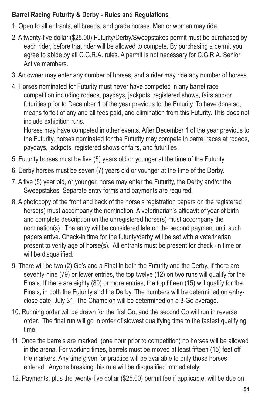#### **Barrel Racing Futurity & Derby - Rules and Regulations**

- 1. Open to all entrants, all breeds, and grade horses. Men or women may ride.
- 2. A twenty-five dollar (\$25.00) Futurity/Derby/Sweepstakes permit must be purchased by each rider, before that rider will be allowed to compete. By purchasing a permit you agree to abide by all C.G.R.A. rules. A permit is not necessary for C.G.R.A. Senior Active members.
- 3. An owner may enter any number of horses, and a rider may ride any number of horses.
- 4. Horses nominated for Futurity must never have competed in any barrel race competition including rodeos, paydays, jackpots, registered shows, fairs and/or futurities prior to December 1 of the year previous to the Futurity. To have done so, means forfeit of any and all fees paid, and elimination from this Futurity. This does not include exhibition runs.

Horses may have competed in other events. After December 1 of the year previous to the Futurity, horses nominated for the Futurity may compete in barrel races at rodeos, paydays, jackpots, registered shows or fairs, and futurities.

- 5. Futurity horses must be five (5) years old or younger at the time of the Futurity.
- 6. Derby horses must be seven (7) years old or younger at the time of the Derby.
- 7. A five (5) year old, or younger, horse may enter the Futurity, the Derby and/or the Sweepstakes. Separate entry forms and payments are required.
- 8. A photocopy of the front and back of the horse's registration papers on the registered horse(s) must accompany the nomination. A veterinarian's affidavit of year of birth and complete description on the unregistered horse(s) must accompany the nomination(s). The entry will be considered late on the second payment until such papers arrive. Check-in time for the futurity/derby will be set with a veterinarian present to verify age of horse(s). All entrants must be present for check -in time or will be disqualified.
- 9. There will be two (2) Go's and a Final in both the Futurity and the Derby. If there are seventy-nine (79) or fewer entries, the top twelve (12) on two runs will qualify for the Finals. If there are eighty (80) or more entries, the top fifteen (15) will qualify for the Finals, in both the Futurity and the Derby. The numbers will be determined on entryclose date, July 31. The Champion will be determined on a 3-Go average.
- 10. Running order will be drawn for the first Go, and the second Go will run in reverse order. The final run will go in order of slowest qualifying time to the fastest qualifying time.
- 11. Once the barrels are marked, (one hour prior to competition) no horses will be allowed in the arena. For working times, barrels must be moved at least fifteen (15) feet off the markers. Any time given for practice will be available to only those horses entered. Anyone breaking this rule will be disqualified immediately.
- 12. Payments, plus the twenty-five dollar (\$25.00) permit fee if applicable, will be due on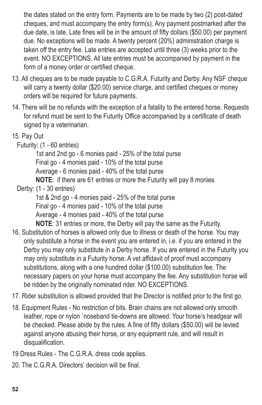the dates stated on the entry form. Payments are to be made by two (2) post-dated cheques, and must accompany the entry form(s). Any payment postmarked after the due date, is late. Late fines will be in the amount of fifty dollars (\$50.00) per payment due. No exceptions will be made. A twenty percent (20%) administration charge is taken off the entry fee. Late entries are accepted until three (3) weeks prior to the event. NO EXCEPTIONS. All late entries must be accompanied by payment in the form of a money order or certified cheque.

- 13. All cheques are to be made payable to C.G.R.A. Futurity and Derby. Any NSF cheque will carry a twenty dollar (\$20.00) service charge, and certified cheques or money orders will be required for future payments.
- 14. There will be no refunds with the exception of a fatality to the entered horse. Requests for refund must be sent to the Futurity Office accompanied by a certificate of death signed by a veterinarian.
- 15. Pay Out
	- Futurity: (1 60 entries)

1st and 2nd go - 6 monies paid - 25% of the total purse Final go - 4 monies paid - 10% of the total purse Average - 6 monies paid - 40% of the total purse **NOTE**: if there are 61 entries or more the Futurity will pay 8 monies

Derby: (1 - 30 entries)

1st & 2nd go - 4 monies paid - 25% of the total purse Final go - 4 monies paid - 10% of the total purse Average - 4 monies paid - 40% of the total purse **NOTE**: 31 entries or more, the Derby will pay the same as the Futurity.

- 16. Substitution of horses is allowed only due to illness or death of the horse. You may only substitute a horse in the event you are entered in, i.e. if you are entered in the Derby you may only substitute in a Derby horse. If you are entered in the Futurity you may only substitute in a Futurity horse. A vet affidavit of proof must accompany substitutions, along with a one hundred dollar (\$100.00) substitution fee. The necessary papers on your horse must accompany the fee. Any substitution horse will be ridden by the originally nominated rider. NO EXCEPTIONS.
- 17. Rider substitution is allowed provided that the Director is notified prior to the first go.
- 18. Equipment Rules No restriction of bits. Brain chains are not allowed only smooth leather, rope or nylon `noseband tie-downs are allowed. Your horse's headgear will be checked. Please abide by the rules. A fine of fifty dollars (\$50.00) will be levied against anyone abusing their horse, or any equipment rule, and will result in disqualification.
- 19 Dress Rules The C.G.R.A. dress code applies.
- 20. The C.G.R.A. Directors' decision will be final.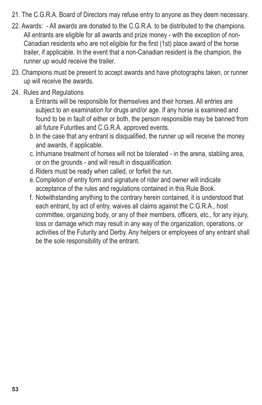- 21. The C.G.R.A. Board of Directors may refuse entry to anyone as they deem necessary.
- 22. Awards: All awards are donated to the C.G.R.A. to be distributed to the champions. All entrants are eligible for all awards and prize money - with the exception of non-Canadian residents who are not eligible for the first (1st) place award of the horse trailer, if applicable. In the event that a non-Canadian resident is the champion, the runner up would receive the trailer.
- 23. Champions must be present to accept awards and have photographs taken, or runner up will receive the awards.
- 24. Rules and Regulations
	- a.Entrants will be responsible for themselves and their horses. All entries are subject to an examination for drugs and/or age. If any horse is examined and found to be in fault of either or both, the person responsible may be banned from all future Futurities and C.G.R.A. approved events.
	- b. In the case that any entrant is disqualified, the runner up will receive the money and awards, if applicable.
	- c. Inhumane treatment of horses will not be tolerated in the arena, stabling area, or on the grounds - and will result in disqualification.
	- d.Riders must be ready when called, or forfeit the run.
	- e.Completion of entry form and signature of rider and owner will indicate acceptance of the rules and regulations contained in this Rule Book.
	- f. Notwithstanding anything to the contrary herein contained, it is understood that each entrant, by act of entry, waives all claims against the C.G.R.A., host committee, organizing body, or any of their members, officers, etc., for any injury, loss or damage which may result in any way of the organization, operations, or activities of the Futurity and Derby. Any helpers or employees of any entrant shall be the sole responsibility of the entrant.